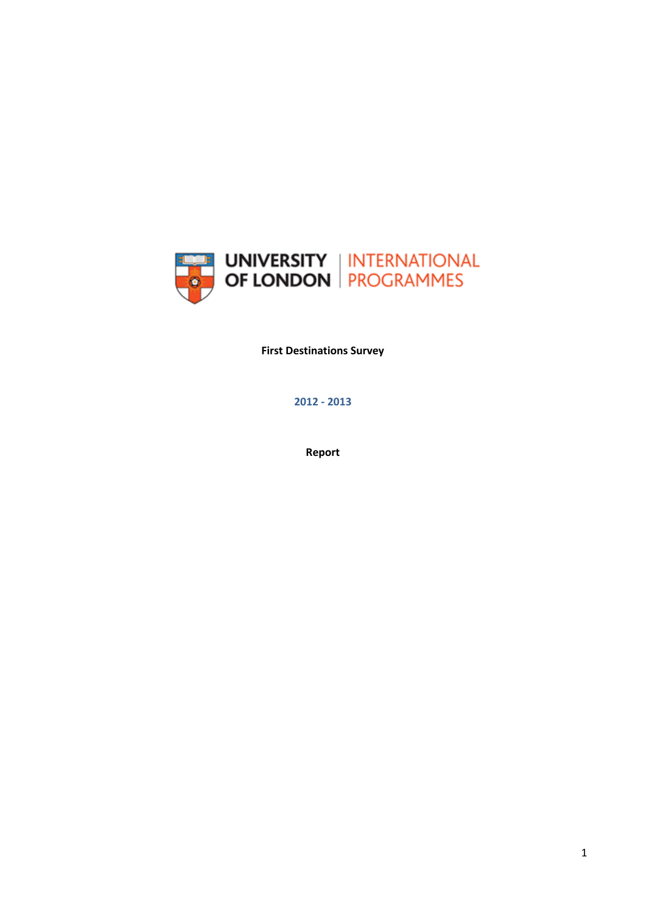

**First Destinations Survey**

**2012 - 2013**

**Report**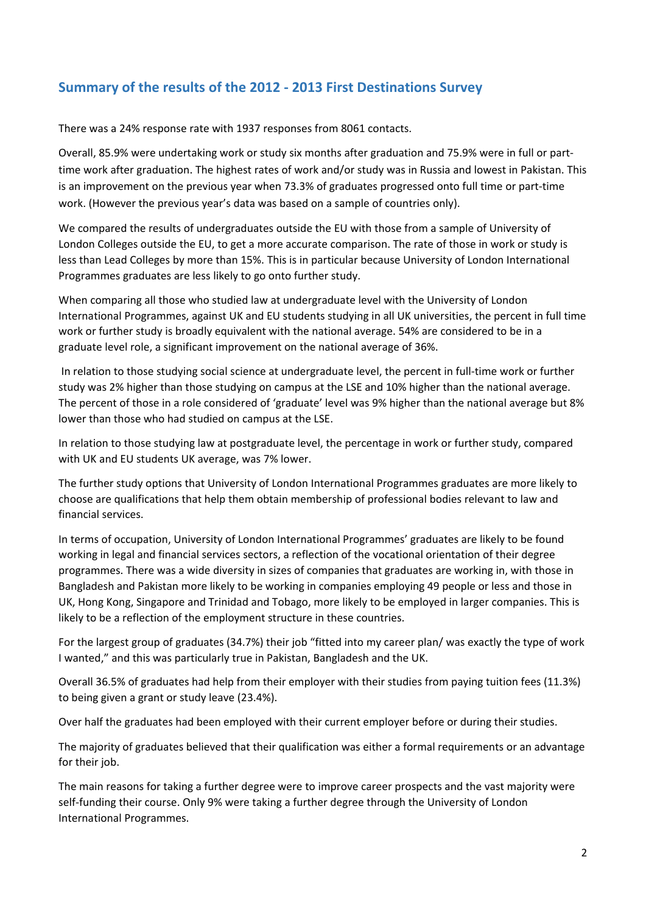# **Summary of the results of the 2012 - 2013 First Destinations Survey**

There was a 24% response rate with 1937 responses from 8061 contacts.

Overall, 85.9% were undertaking work or study six months after graduation and 75.9% were in full or parttime work after graduation. The highest rates of work and/or study was in Russia and lowest in Pakistan. This is an improvement on the previous year when 73.3% of graduates progressed onto full time or part-time work. (However the previous year's data was based on a sample of countries only).

We compared the results of undergraduates outside the EU with those from a sample of University of London Colleges outside the EU, to get a more accurate comparison. The rate of those in work or study is less than Lead Colleges by more than 15%. This is in particular because University of London International Programmes graduates are less likely to go onto further study.

When comparing all those who studied law at undergraduate level with the University of London International Programmes, against UK and EU students studying in all UK universities, the percent in full time work or further study is broadly equivalent with the national average. 54% are considered to be in a graduate level role, a significant improvement on the national average of 36%.

In relation to those studying social science at undergraduate level, the percent in full-time work or further study was 2% higher than those studying on campus at the LSE and 10% higher than the national average. The percent of those in a role considered of 'graduate' level was 9% higher than the national average but 8% lower than those who had studied on campus at the LSE.

In relation to those studying law at postgraduate level, the percentage in work or further study, compared with UK and EU students UK average, was 7% lower.

The further study options that University of London International Programmes graduates are more likely to choose are qualifications that help them obtain membership of professional bodies relevant to law and financial services.

In terms of occupation, University of London International Programmes' graduates are likely to be found working in legal and financial services sectors, a reflection of the vocational orientation of their degree programmes. There was a wide diversity in sizes of companies that graduates are working in, with those in Bangladesh and Pakistan more likely to be working in companies employing 49 people or less and those in UK, Hong Kong, Singapore and Trinidad and Tobago, more likely to be employed in larger companies. This is likely to be a reflection of the employment structure in these countries.

For the largest group of graduates (34.7%) their job "fitted into my career plan/ was exactly the type of work I wanted," and this was particularly true in Pakistan, Bangladesh and the UK.

Overall 36.5% of graduates had help from their employer with their studies from paying tuition fees (11.3%) to being given a grant or study leave (23.4%).

Over half the graduates had been employed with their current employer before or during their studies.

The majority of graduates believed that their qualification was either a formal requirements or an advantage for their job.

The main reasons for taking a further degree were to improve career prospects and the vast majority were self-funding their course. Only 9% were taking a further degree through the University of London International Programmes.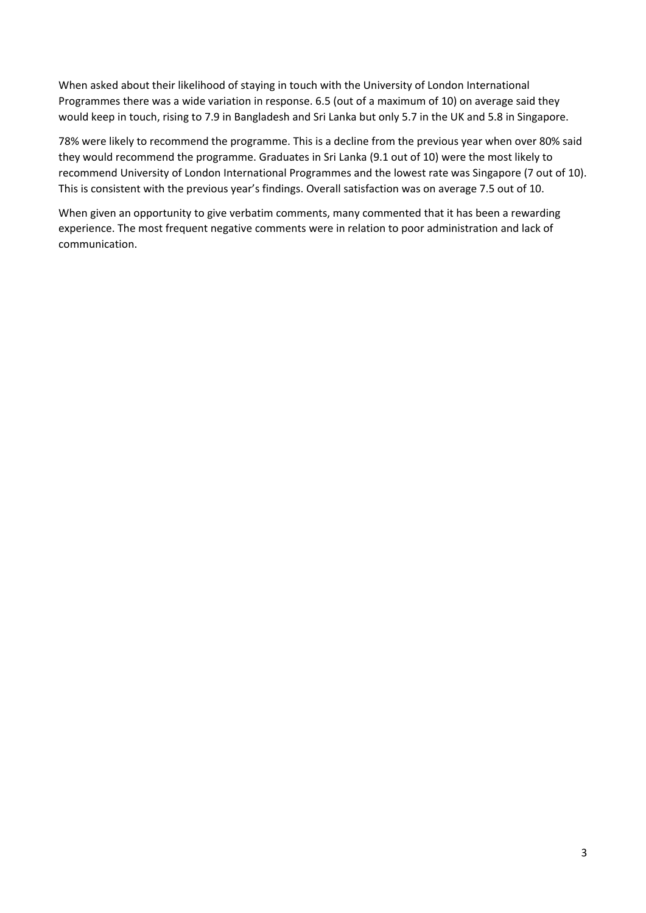When asked about their likelihood of staying in touch with the University of London International Programmes there was a wide variation in response. 6.5 (out of a maximum of 10) on average said they would keep in touch, rising to 7.9 in Bangladesh and Sri Lanka but only 5.7 in the UK and 5.8 in Singapore.

78% were likely to recommend the programme. This is a decline from the previous year when over 80% said they would recommend the programme. Graduates in Sri Lanka (9.1 out of 10) were the most likely to recommend University of London International Programmes and the lowest rate was Singapore (7 out of 10). This is consistent with the previous year's findings. Overall satisfaction was on average 7.5 out of 10.

When given an opportunity to give verbatim comments, many commented that it has been a rewarding experience. The most frequent negative comments were in relation to poor administration and lack of communication.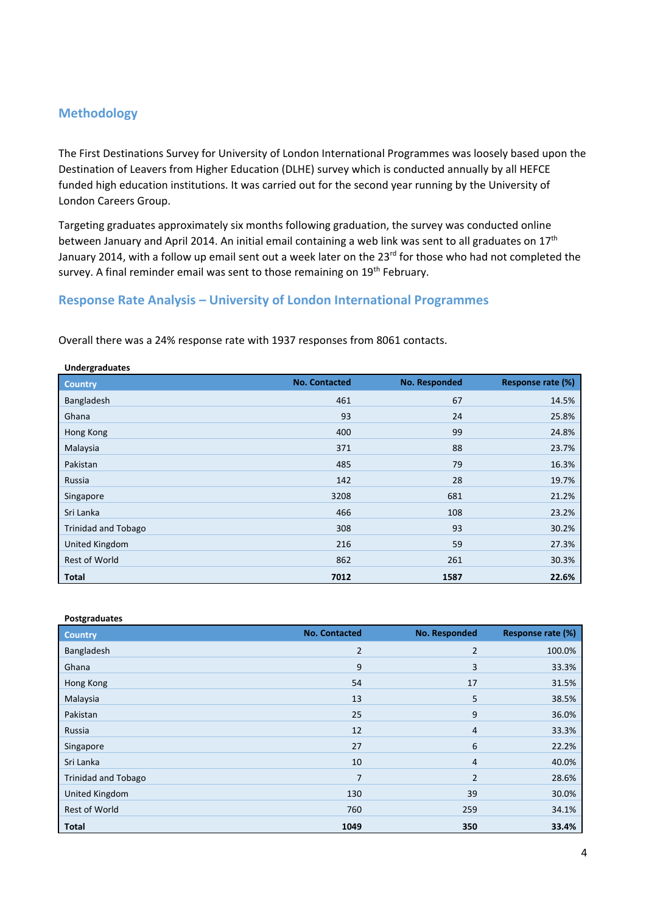### **Methodology**

The First Destinations Survey for University of London International Programmes was loosely based upon the Destination of Leavers from Higher Education (DLHE) survey which is conducted annually by all HEFCE funded high education institutions. It was carried out for the second year running by the University of London Careers Group.

Targeting graduates approximately six months following graduation, the survey was conducted online between January and April 2014. An initial email containing a web link was sent to all graduates on 17<sup>th</sup> January 2014, with a follow up email sent out a week later on the 23<sup>rd</sup> for those who had not completed the survey. A final reminder email was sent to those remaining on 19<sup>th</sup> February.

### **Response Rate Analysis – University of London International Programmes**

| <b>Undergraduates</b>      |                      |               |                   |
|----------------------------|----------------------|---------------|-------------------|
| <b>Country</b>             | <b>No. Contacted</b> | No. Responded | Response rate (%) |
| Bangladesh                 | 461                  | 67            | 14.5%             |
| Ghana                      | 93                   | 24            | 25.8%             |
| Hong Kong                  | 400                  | 99            | 24.8%             |
| Malaysia                   | 371                  | 88            | 23.7%             |
| Pakistan                   | 485                  | 79            | 16.3%             |
| Russia                     | 142                  | 28            | 19.7%             |
| Singapore                  | 3208                 | 681           | 21.2%             |
| Sri Lanka                  | 466                  | 108           | 23.2%             |
| <b>Trinidad and Tobago</b> | 308                  | 93            | 30.2%             |
| United Kingdom             | 216                  | 59            | 27.3%             |
| <b>Rest of World</b>       | 862                  | 261           | 30.3%             |
| <b>Total</b>               | 7012                 | 1587          | 22.6%             |

Overall there was a 24% response rate with 1937 responses from 8061 contacts.

| Postgraduates              |                      |                |                   |
|----------------------------|----------------------|----------------|-------------------|
| <b>Country</b>             | <b>No. Contacted</b> | No. Responded  | Response rate (%) |
| Bangladesh                 | 2                    | 2              | 100.0%            |
| Ghana                      | 9                    | 3              | 33.3%             |
| Hong Kong                  | 54                   | 17             | 31.5%             |
| Malaysia                   | 13                   | 5              | 38.5%             |
| Pakistan                   | 25                   | 9              | 36.0%             |
| Russia                     | 12                   | $\overline{4}$ | 33.3%             |
| Singapore                  | 27                   | 6              | 22.2%             |
| Sri Lanka                  | 10                   | 4              | 40.0%             |
| <b>Trinidad and Tobago</b> | 7                    | $\overline{2}$ | 28.6%             |
| United Kingdom             | 130                  | 39             | 30.0%             |
| Rest of World              | 760                  | 259            | 34.1%             |
| <b>Total</b>               | 1049                 | 350            | 33.4%             |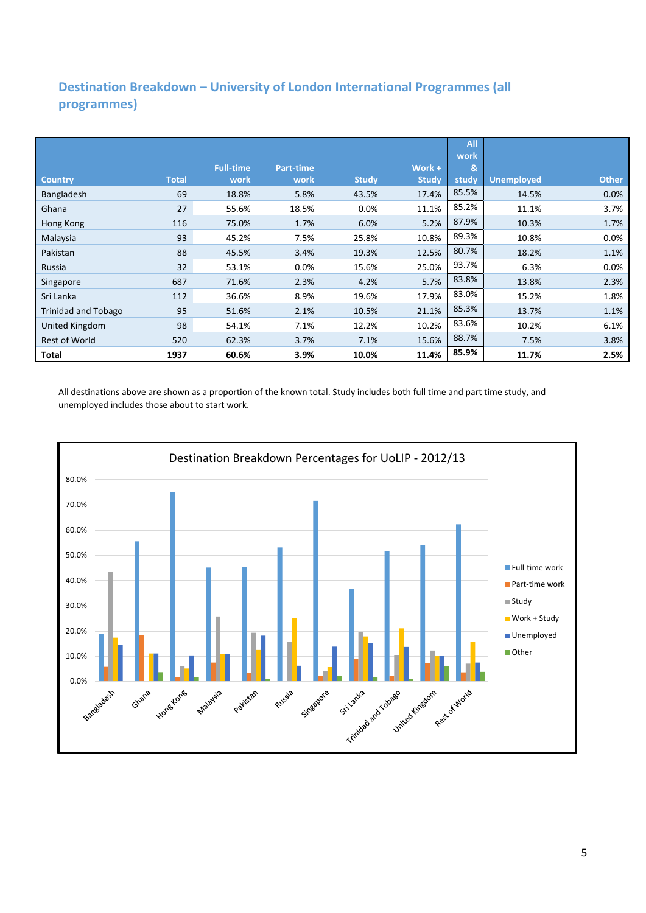## **Destination Breakdown – University of London International Programmes (all programmes)**

|                            |              |                  |                  |              |              | All<br>work |                   |              |
|----------------------------|--------------|------------------|------------------|--------------|--------------|-------------|-------------------|--------------|
|                            |              | <b>Full-time</b> | <b>Part-time</b> |              | Work +       | &           |                   |              |
| <b>Country</b>             | <b>Total</b> | work             | work             | <b>Study</b> | <b>Study</b> | study       | <b>Unemployed</b> | <b>Other</b> |
| Bangladesh                 | 69           | 18.8%            | 5.8%             | 43.5%        | 17.4%        | 85.5%       | 14.5%             | 0.0%         |
| Ghana                      | 27           | 55.6%            | 18.5%            | 0.0%         | 11.1%        | 85.2%       | 11.1%             | 3.7%         |
| Hong Kong                  | 116          | 75.0%            | 1.7%             | 6.0%         | 5.2%         | 87.9%       | 10.3%             | 1.7%         |
| Malaysia                   | 93           | 45.2%            | 7.5%             | 25.8%        | 10.8%        | 89.3%       | 10.8%             | 0.0%         |
| Pakistan                   | 88           | 45.5%            | 3.4%             | 19.3%        | 12.5%        | 80.7%       | 18.2%             | 1.1%         |
| Russia                     | 32           | 53.1%            | 0.0%             | 15.6%        | 25.0%        | 93.7%       | 6.3%              | 0.0%         |
| Singapore                  | 687          | 71.6%            | 2.3%             | 4.2%         | 5.7%         | 83.8%       | 13.8%             | 2.3%         |
| Sri Lanka                  | 112          | 36.6%            | 8.9%             | 19.6%        | 17.9%        | 83.0%       | 15.2%             | 1.8%         |
| <b>Trinidad and Tobago</b> | 95           | 51.6%            | 2.1%             | 10.5%        | 21.1%        | 85.3%       | 13.7%             | 1.1%         |
| United Kingdom             | 98           | 54.1%            | 7.1%             | 12.2%        | 10.2%        | 83.6%       | 10.2%             | 6.1%         |
| <b>Rest of World</b>       | 520          | 62.3%            | 3.7%             | 7.1%         | 15.6%        | 88.7%       | 7.5%              | 3.8%         |
| Total                      | 1937         | 60.6%            | 3.9%             | 10.0%        | 11.4%        | 85.9%       | 11.7%             | 2.5%         |

All destinations above are shown as a proportion of the known total. Study includes both full time and part time study, and unemployed includes those about to start work.

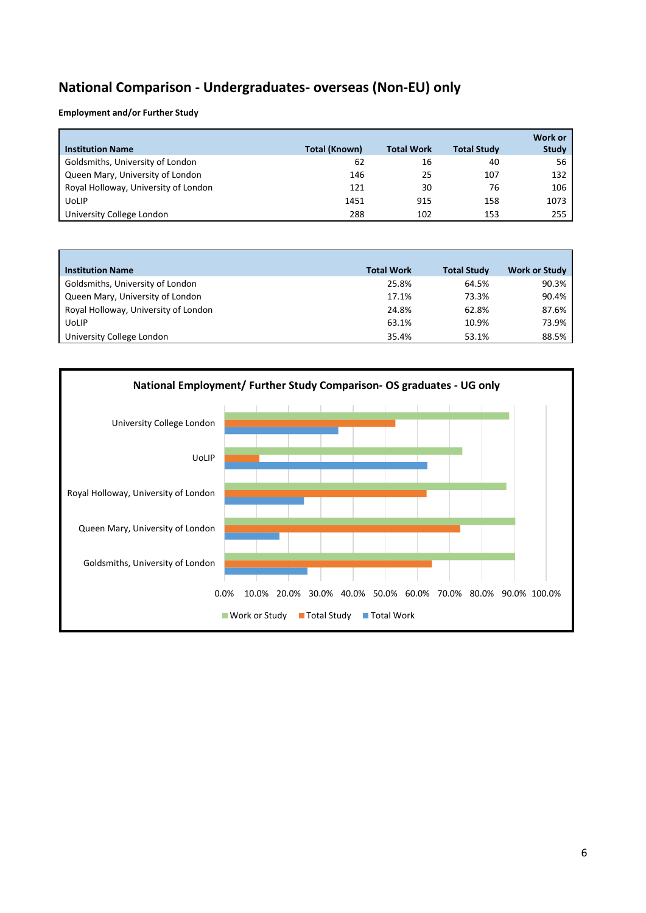# **National Comparison - Undergraduates- overseas (Non-EU) only**

**Employment and/or Further Study**

| <b>Institution Name</b>              | Total (Known) | <b>Total Work</b> | <b>Total Study</b> | Work or<br><b>Study</b> |
|--------------------------------------|---------------|-------------------|--------------------|-------------------------|
| Goldsmiths, University of London     | 62            | 16                | 40                 | 56                      |
| Queen Mary, University of London     | 146           | 25                | 107                | 132                     |
| Royal Holloway, University of London | 121           | 30                | 76                 | 106                     |
| <b>UoLIP</b>                         | 1451          | 915               | 158                | 1073                    |
| University College London            | 288           | 102               | 153                | 255                     |

| <b>Institution Name</b>              | <b>Total Work</b> | <b>Total Study</b> | <b>Work or Study</b> |
|--------------------------------------|-------------------|--------------------|----------------------|
| Goldsmiths, University of London     | 25.8%             | 64.5%              | 90.3%                |
| Queen Mary, University of London     | 17.1%             | 73.3%              | 90.4%                |
| Royal Holloway, University of London | 24.8%             | 62.8%              | 87.6%                |
| <b>UoLIP</b>                         | 63.1%             | 10.9%              | 73.9%                |
| University College London            | 35.4%             | 53.1%              | 88.5%                |

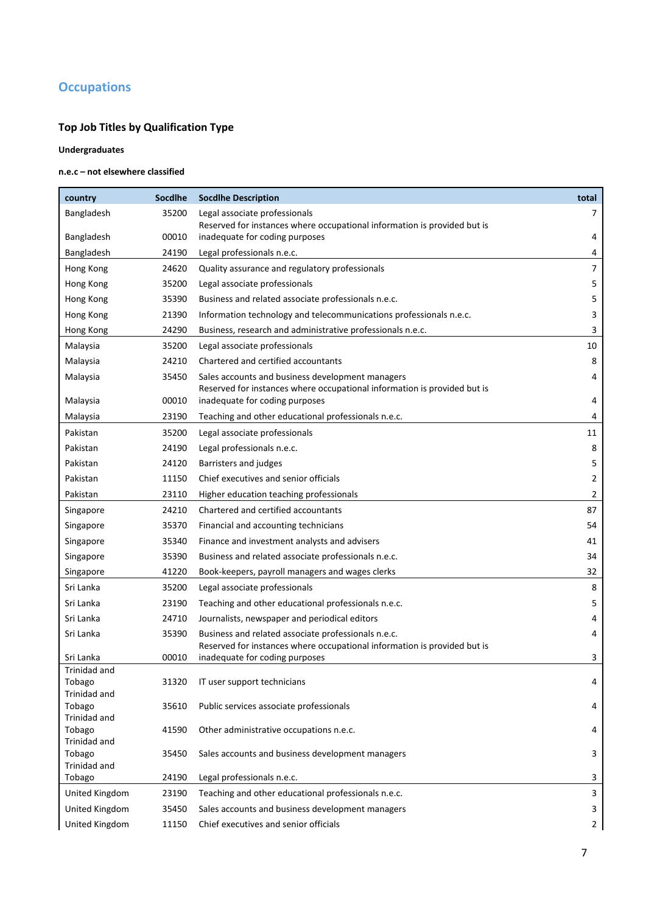# **Occupations**

## **Top Job Titles by Qualification Type**

#### **Undergraduates**

### **n.e.c – not elsewhere classified**

| 35200<br>Bangladesh<br>Legal associate professionals<br>7<br>Reserved for instances where occupational information is provided but is<br>inadequate for coding purposes<br>4<br>Bangladesh<br>00010<br>24190<br>Legal professionals n.e.c.<br>4<br>Bangladesh<br>7<br>24620<br>Quality assurance and regulatory professionals<br>Hong Kong<br>5<br>35200<br>Legal associate professionals<br>Hong Kong<br>5<br>35390<br>Business and related associate professionals n.e.c.<br>Hong Kong<br>21390<br>3<br>Information technology and telecommunications professionals n.e.c.<br>Hong Kong<br>3<br>24290<br>Business, research and administrative professionals n.e.c.<br>Hong Kong<br>10<br>35200<br>Legal associate professionals<br>Malaysia<br>8<br>24210<br>Chartered and certified accountants<br>Malaysia<br>35450<br>Sales accounts and business development managers<br>4<br>Malaysia<br>Reserved for instances where occupational information is provided but is<br>00010<br>inadequate for coding purposes<br>4<br>Malaysia<br>23190<br>Malaysia<br>Teaching and other educational professionals n.e.c.<br>4<br>11<br>Pakistan<br>35200<br>Legal associate professionals<br>8<br>Pakistan<br>24190<br>Legal professionals n.e.c.<br>Pakistan<br>24120<br>Barristers and judges<br>5<br>Pakistan<br>11150<br>Chief executives and senior officials<br>2<br>Pakistan<br>2<br>23110<br>Higher education teaching professionals<br>24210<br>Chartered and certified accountants<br>87<br>Singapore<br>35370<br>54<br>Singapore<br>Financial and accounting technicians<br>35340<br>Finance and investment analysts and advisers<br>41<br>Singapore<br>35390<br>34<br>Business and related associate professionals n.e.c.<br>Singapore<br>41220<br>32<br>Book-keepers, payroll managers and wages clerks<br>Singapore<br>8<br>Sri Lanka<br>35200<br>Legal associate professionals<br>5<br>23190<br>Sri Lanka<br>Teaching and other educational professionals n.e.c.<br>Sri Lanka<br>24710<br>Journalists, newspaper and periodical editors<br>4<br>35390<br>4<br>Sri Lanka<br>Business and related associate professionals n.e.c.<br>Reserved for instances where occupational information is provided but is<br>00010<br>inadequate for coding purposes<br>3<br>Sri Lanka<br>Trinidad and<br>31320<br>Tobago<br>IT user support technicians<br>4<br>Trinidad and<br>Tobago<br>35610<br>Public services associate professionals<br>4<br>Trinidad and<br>Tobago<br>41590<br>Other administrative occupations n.e.c.<br>4<br>Trinidad and<br>Tobago<br>35450<br>Sales accounts and business development managers<br>3<br>Trinidad and<br>24190<br>Tobago<br>Legal professionals n.e.c.<br>3<br>United Kingdom<br>23190<br>Teaching and other educational professionals n.e.c.<br>3<br>United Kingdom<br>35450<br>Sales accounts and business development managers<br>3 | country        | <b>Socdlhe</b> | <b>Socdlhe Description</b>            | total |
|---------------------------------------------------------------------------------------------------------------------------------------------------------------------------------------------------------------------------------------------------------------------------------------------------------------------------------------------------------------------------------------------------------------------------------------------------------------------------------------------------------------------------------------------------------------------------------------------------------------------------------------------------------------------------------------------------------------------------------------------------------------------------------------------------------------------------------------------------------------------------------------------------------------------------------------------------------------------------------------------------------------------------------------------------------------------------------------------------------------------------------------------------------------------------------------------------------------------------------------------------------------------------------------------------------------------------------------------------------------------------------------------------------------------------------------------------------------------------------------------------------------------------------------------------------------------------------------------------------------------------------------------------------------------------------------------------------------------------------------------------------------------------------------------------------------------------------------------------------------------------------------------------------------------------------------------------------------------------------------------------------------------------------------------------------------------------------------------------------------------------------------------------------------------------------------------------------------------------------------------------------------------------------------------------------------------------------------------------------------------------------------------------------------------------------------------------------------------------------------------------------------------------------------------------------------------------------------------------------------------------------------------------------------------------------------------------------------------------------------------------------------------------------------------------------------------------------------------------------------------------|----------------|----------------|---------------------------------------|-------|
|                                                                                                                                                                                                                                                                                                                                                                                                                                                                                                                                                                                                                                                                                                                                                                                                                                                                                                                                                                                                                                                                                                                                                                                                                                                                                                                                                                                                                                                                                                                                                                                                                                                                                                                                                                                                                                                                                                                                                                                                                                                                                                                                                                                                                                                                                                                                                                                                                                                                                                                                                                                                                                                                                                                                                                                                                                                                           |                |                |                                       |       |
|                                                                                                                                                                                                                                                                                                                                                                                                                                                                                                                                                                                                                                                                                                                                                                                                                                                                                                                                                                                                                                                                                                                                                                                                                                                                                                                                                                                                                                                                                                                                                                                                                                                                                                                                                                                                                                                                                                                                                                                                                                                                                                                                                                                                                                                                                                                                                                                                                                                                                                                                                                                                                                                                                                                                                                                                                                                                           |                |                |                                       |       |
|                                                                                                                                                                                                                                                                                                                                                                                                                                                                                                                                                                                                                                                                                                                                                                                                                                                                                                                                                                                                                                                                                                                                                                                                                                                                                                                                                                                                                                                                                                                                                                                                                                                                                                                                                                                                                                                                                                                                                                                                                                                                                                                                                                                                                                                                                                                                                                                                                                                                                                                                                                                                                                                                                                                                                                                                                                                                           |                |                |                                       |       |
|                                                                                                                                                                                                                                                                                                                                                                                                                                                                                                                                                                                                                                                                                                                                                                                                                                                                                                                                                                                                                                                                                                                                                                                                                                                                                                                                                                                                                                                                                                                                                                                                                                                                                                                                                                                                                                                                                                                                                                                                                                                                                                                                                                                                                                                                                                                                                                                                                                                                                                                                                                                                                                                                                                                                                                                                                                                                           |                |                |                                       |       |
|                                                                                                                                                                                                                                                                                                                                                                                                                                                                                                                                                                                                                                                                                                                                                                                                                                                                                                                                                                                                                                                                                                                                                                                                                                                                                                                                                                                                                                                                                                                                                                                                                                                                                                                                                                                                                                                                                                                                                                                                                                                                                                                                                                                                                                                                                                                                                                                                                                                                                                                                                                                                                                                                                                                                                                                                                                                                           |                |                |                                       |       |
|                                                                                                                                                                                                                                                                                                                                                                                                                                                                                                                                                                                                                                                                                                                                                                                                                                                                                                                                                                                                                                                                                                                                                                                                                                                                                                                                                                                                                                                                                                                                                                                                                                                                                                                                                                                                                                                                                                                                                                                                                                                                                                                                                                                                                                                                                                                                                                                                                                                                                                                                                                                                                                                                                                                                                                                                                                                                           |                |                |                                       |       |
|                                                                                                                                                                                                                                                                                                                                                                                                                                                                                                                                                                                                                                                                                                                                                                                                                                                                                                                                                                                                                                                                                                                                                                                                                                                                                                                                                                                                                                                                                                                                                                                                                                                                                                                                                                                                                                                                                                                                                                                                                                                                                                                                                                                                                                                                                                                                                                                                                                                                                                                                                                                                                                                                                                                                                                                                                                                                           |                |                |                                       |       |
|                                                                                                                                                                                                                                                                                                                                                                                                                                                                                                                                                                                                                                                                                                                                                                                                                                                                                                                                                                                                                                                                                                                                                                                                                                                                                                                                                                                                                                                                                                                                                                                                                                                                                                                                                                                                                                                                                                                                                                                                                                                                                                                                                                                                                                                                                                                                                                                                                                                                                                                                                                                                                                                                                                                                                                                                                                                                           |                |                |                                       |       |
|                                                                                                                                                                                                                                                                                                                                                                                                                                                                                                                                                                                                                                                                                                                                                                                                                                                                                                                                                                                                                                                                                                                                                                                                                                                                                                                                                                                                                                                                                                                                                                                                                                                                                                                                                                                                                                                                                                                                                                                                                                                                                                                                                                                                                                                                                                                                                                                                                                                                                                                                                                                                                                                                                                                                                                                                                                                                           |                |                |                                       |       |
|                                                                                                                                                                                                                                                                                                                                                                                                                                                                                                                                                                                                                                                                                                                                                                                                                                                                                                                                                                                                                                                                                                                                                                                                                                                                                                                                                                                                                                                                                                                                                                                                                                                                                                                                                                                                                                                                                                                                                                                                                                                                                                                                                                                                                                                                                                                                                                                                                                                                                                                                                                                                                                                                                                                                                                                                                                                                           |                |                |                                       |       |
|                                                                                                                                                                                                                                                                                                                                                                                                                                                                                                                                                                                                                                                                                                                                                                                                                                                                                                                                                                                                                                                                                                                                                                                                                                                                                                                                                                                                                                                                                                                                                                                                                                                                                                                                                                                                                                                                                                                                                                                                                                                                                                                                                                                                                                                                                                                                                                                                                                                                                                                                                                                                                                                                                                                                                                                                                                                                           |                |                |                                       |       |
|                                                                                                                                                                                                                                                                                                                                                                                                                                                                                                                                                                                                                                                                                                                                                                                                                                                                                                                                                                                                                                                                                                                                                                                                                                                                                                                                                                                                                                                                                                                                                                                                                                                                                                                                                                                                                                                                                                                                                                                                                                                                                                                                                                                                                                                                                                                                                                                                                                                                                                                                                                                                                                                                                                                                                                                                                                                                           |                |                |                                       |       |
|                                                                                                                                                                                                                                                                                                                                                                                                                                                                                                                                                                                                                                                                                                                                                                                                                                                                                                                                                                                                                                                                                                                                                                                                                                                                                                                                                                                                                                                                                                                                                                                                                                                                                                                                                                                                                                                                                                                                                                                                                                                                                                                                                                                                                                                                                                                                                                                                                                                                                                                                                                                                                                                                                                                                                                                                                                                                           |                |                |                                       |       |
|                                                                                                                                                                                                                                                                                                                                                                                                                                                                                                                                                                                                                                                                                                                                                                                                                                                                                                                                                                                                                                                                                                                                                                                                                                                                                                                                                                                                                                                                                                                                                                                                                                                                                                                                                                                                                                                                                                                                                                                                                                                                                                                                                                                                                                                                                                                                                                                                                                                                                                                                                                                                                                                                                                                                                                                                                                                                           |                |                |                                       |       |
|                                                                                                                                                                                                                                                                                                                                                                                                                                                                                                                                                                                                                                                                                                                                                                                                                                                                                                                                                                                                                                                                                                                                                                                                                                                                                                                                                                                                                                                                                                                                                                                                                                                                                                                                                                                                                                                                                                                                                                                                                                                                                                                                                                                                                                                                                                                                                                                                                                                                                                                                                                                                                                                                                                                                                                                                                                                                           |                |                |                                       |       |
|                                                                                                                                                                                                                                                                                                                                                                                                                                                                                                                                                                                                                                                                                                                                                                                                                                                                                                                                                                                                                                                                                                                                                                                                                                                                                                                                                                                                                                                                                                                                                                                                                                                                                                                                                                                                                                                                                                                                                                                                                                                                                                                                                                                                                                                                                                                                                                                                                                                                                                                                                                                                                                                                                                                                                                                                                                                                           |                |                |                                       |       |
|                                                                                                                                                                                                                                                                                                                                                                                                                                                                                                                                                                                                                                                                                                                                                                                                                                                                                                                                                                                                                                                                                                                                                                                                                                                                                                                                                                                                                                                                                                                                                                                                                                                                                                                                                                                                                                                                                                                                                                                                                                                                                                                                                                                                                                                                                                                                                                                                                                                                                                                                                                                                                                                                                                                                                                                                                                                                           |                |                |                                       |       |
|                                                                                                                                                                                                                                                                                                                                                                                                                                                                                                                                                                                                                                                                                                                                                                                                                                                                                                                                                                                                                                                                                                                                                                                                                                                                                                                                                                                                                                                                                                                                                                                                                                                                                                                                                                                                                                                                                                                                                                                                                                                                                                                                                                                                                                                                                                                                                                                                                                                                                                                                                                                                                                                                                                                                                                                                                                                                           |                |                |                                       |       |
|                                                                                                                                                                                                                                                                                                                                                                                                                                                                                                                                                                                                                                                                                                                                                                                                                                                                                                                                                                                                                                                                                                                                                                                                                                                                                                                                                                                                                                                                                                                                                                                                                                                                                                                                                                                                                                                                                                                                                                                                                                                                                                                                                                                                                                                                                                                                                                                                                                                                                                                                                                                                                                                                                                                                                                                                                                                                           |                |                |                                       |       |
|                                                                                                                                                                                                                                                                                                                                                                                                                                                                                                                                                                                                                                                                                                                                                                                                                                                                                                                                                                                                                                                                                                                                                                                                                                                                                                                                                                                                                                                                                                                                                                                                                                                                                                                                                                                                                                                                                                                                                                                                                                                                                                                                                                                                                                                                                                                                                                                                                                                                                                                                                                                                                                                                                                                                                                                                                                                                           |                |                |                                       |       |
|                                                                                                                                                                                                                                                                                                                                                                                                                                                                                                                                                                                                                                                                                                                                                                                                                                                                                                                                                                                                                                                                                                                                                                                                                                                                                                                                                                                                                                                                                                                                                                                                                                                                                                                                                                                                                                                                                                                                                                                                                                                                                                                                                                                                                                                                                                                                                                                                                                                                                                                                                                                                                                                                                                                                                                                                                                                                           |                |                |                                       |       |
|                                                                                                                                                                                                                                                                                                                                                                                                                                                                                                                                                                                                                                                                                                                                                                                                                                                                                                                                                                                                                                                                                                                                                                                                                                                                                                                                                                                                                                                                                                                                                                                                                                                                                                                                                                                                                                                                                                                                                                                                                                                                                                                                                                                                                                                                                                                                                                                                                                                                                                                                                                                                                                                                                                                                                                                                                                                                           |                |                |                                       |       |
|                                                                                                                                                                                                                                                                                                                                                                                                                                                                                                                                                                                                                                                                                                                                                                                                                                                                                                                                                                                                                                                                                                                                                                                                                                                                                                                                                                                                                                                                                                                                                                                                                                                                                                                                                                                                                                                                                                                                                                                                                                                                                                                                                                                                                                                                                                                                                                                                                                                                                                                                                                                                                                                                                                                                                                                                                                                                           |                |                |                                       |       |
|                                                                                                                                                                                                                                                                                                                                                                                                                                                                                                                                                                                                                                                                                                                                                                                                                                                                                                                                                                                                                                                                                                                                                                                                                                                                                                                                                                                                                                                                                                                                                                                                                                                                                                                                                                                                                                                                                                                                                                                                                                                                                                                                                                                                                                                                                                                                                                                                                                                                                                                                                                                                                                                                                                                                                                                                                                                                           |                |                |                                       |       |
|                                                                                                                                                                                                                                                                                                                                                                                                                                                                                                                                                                                                                                                                                                                                                                                                                                                                                                                                                                                                                                                                                                                                                                                                                                                                                                                                                                                                                                                                                                                                                                                                                                                                                                                                                                                                                                                                                                                                                                                                                                                                                                                                                                                                                                                                                                                                                                                                                                                                                                                                                                                                                                                                                                                                                                                                                                                                           |                |                |                                       |       |
|                                                                                                                                                                                                                                                                                                                                                                                                                                                                                                                                                                                                                                                                                                                                                                                                                                                                                                                                                                                                                                                                                                                                                                                                                                                                                                                                                                                                                                                                                                                                                                                                                                                                                                                                                                                                                                                                                                                                                                                                                                                                                                                                                                                                                                                                                                                                                                                                                                                                                                                                                                                                                                                                                                                                                                                                                                                                           |                |                |                                       |       |
|                                                                                                                                                                                                                                                                                                                                                                                                                                                                                                                                                                                                                                                                                                                                                                                                                                                                                                                                                                                                                                                                                                                                                                                                                                                                                                                                                                                                                                                                                                                                                                                                                                                                                                                                                                                                                                                                                                                                                                                                                                                                                                                                                                                                                                                                                                                                                                                                                                                                                                                                                                                                                                                                                                                                                                                                                                                                           |                |                |                                       |       |
|                                                                                                                                                                                                                                                                                                                                                                                                                                                                                                                                                                                                                                                                                                                                                                                                                                                                                                                                                                                                                                                                                                                                                                                                                                                                                                                                                                                                                                                                                                                                                                                                                                                                                                                                                                                                                                                                                                                                                                                                                                                                                                                                                                                                                                                                                                                                                                                                                                                                                                                                                                                                                                                                                                                                                                                                                                                                           |                |                |                                       |       |
|                                                                                                                                                                                                                                                                                                                                                                                                                                                                                                                                                                                                                                                                                                                                                                                                                                                                                                                                                                                                                                                                                                                                                                                                                                                                                                                                                                                                                                                                                                                                                                                                                                                                                                                                                                                                                                                                                                                                                                                                                                                                                                                                                                                                                                                                                                                                                                                                                                                                                                                                                                                                                                                                                                                                                                                                                                                                           |                |                |                                       |       |
|                                                                                                                                                                                                                                                                                                                                                                                                                                                                                                                                                                                                                                                                                                                                                                                                                                                                                                                                                                                                                                                                                                                                                                                                                                                                                                                                                                                                                                                                                                                                                                                                                                                                                                                                                                                                                                                                                                                                                                                                                                                                                                                                                                                                                                                                                                                                                                                                                                                                                                                                                                                                                                                                                                                                                                                                                                                                           |                |                |                                       |       |
|                                                                                                                                                                                                                                                                                                                                                                                                                                                                                                                                                                                                                                                                                                                                                                                                                                                                                                                                                                                                                                                                                                                                                                                                                                                                                                                                                                                                                                                                                                                                                                                                                                                                                                                                                                                                                                                                                                                                                                                                                                                                                                                                                                                                                                                                                                                                                                                                                                                                                                                                                                                                                                                                                                                                                                                                                                                                           |                |                |                                       |       |
|                                                                                                                                                                                                                                                                                                                                                                                                                                                                                                                                                                                                                                                                                                                                                                                                                                                                                                                                                                                                                                                                                                                                                                                                                                                                                                                                                                                                                                                                                                                                                                                                                                                                                                                                                                                                                                                                                                                                                                                                                                                                                                                                                                                                                                                                                                                                                                                                                                                                                                                                                                                                                                                                                                                                                                                                                                                                           |                |                |                                       |       |
|                                                                                                                                                                                                                                                                                                                                                                                                                                                                                                                                                                                                                                                                                                                                                                                                                                                                                                                                                                                                                                                                                                                                                                                                                                                                                                                                                                                                                                                                                                                                                                                                                                                                                                                                                                                                                                                                                                                                                                                                                                                                                                                                                                                                                                                                                                                                                                                                                                                                                                                                                                                                                                                                                                                                                                                                                                                                           |                |                |                                       |       |
|                                                                                                                                                                                                                                                                                                                                                                                                                                                                                                                                                                                                                                                                                                                                                                                                                                                                                                                                                                                                                                                                                                                                                                                                                                                                                                                                                                                                                                                                                                                                                                                                                                                                                                                                                                                                                                                                                                                                                                                                                                                                                                                                                                                                                                                                                                                                                                                                                                                                                                                                                                                                                                                                                                                                                                                                                                                                           |                |                |                                       |       |
|                                                                                                                                                                                                                                                                                                                                                                                                                                                                                                                                                                                                                                                                                                                                                                                                                                                                                                                                                                                                                                                                                                                                                                                                                                                                                                                                                                                                                                                                                                                                                                                                                                                                                                                                                                                                                                                                                                                                                                                                                                                                                                                                                                                                                                                                                                                                                                                                                                                                                                                                                                                                                                                                                                                                                                                                                                                                           |                |                |                                       |       |
|                                                                                                                                                                                                                                                                                                                                                                                                                                                                                                                                                                                                                                                                                                                                                                                                                                                                                                                                                                                                                                                                                                                                                                                                                                                                                                                                                                                                                                                                                                                                                                                                                                                                                                                                                                                                                                                                                                                                                                                                                                                                                                                                                                                                                                                                                                                                                                                                                                                                                                                                                                                                                                                                                                                                                                                                                                                                           |                |                |                                       |       |
|                                                                                                                                                                                                                                                                                                                                                                                                                                                                                                                                                                                                                                                                                                                                                                                                                                                                                                                                                                                                                                                                                                                                                                                                                                                                                                                                                                                                                                                                                                                                                                                                                                                                                                                                                                                                                                                                                                                                                                                                                                                                                                                                                                                                                                                                                                                                                                                                                                                                                                                                                                                                                                                                                                                                                                                                                                                                           |                |                |                                       |       |
|                                                                                                                                                                                                                                                                                                                                                                                                                                                                                                                                                                                                                                                                                                                                                                                                                                                                                                                                                                                                                                                                                                                                                                                                                                                                                                                                                                                                                                                                                                                                                                                                                                                                                                                                                                                                                                                                                                                                                                                                                                                                                                                                                                                                                                                                                                                                                                                                                                                                                                                                                                                                                                                                                                                                                                                                                                                                           |                |                |                                       |       |
|                                                                                                                                                                                                                                                                                                                                                                                                                                                                                                                                                                                                                                                                                                                                                                                                                                                                                                                                                                                                                                                                                                                                                                                                                                                                                                                                                                                                                                                                                                                                                                                                                                                                                                                                                                                                                                                                                                                                                                                                                                                                                                                                                                                                                                                                                                                                                                                                                                                                                                                                                                                                                                                                                                                                                                                                                                                                           |                |                |                                       |       |
|                                                                                                                                                                                                                                                                                                                                                                                                                                                                                                                                                                                                                                                                                                                                                                                                                                                                                                                                                                                                                                                                                                                                                                                                                                                                                                                                                                                                                                                                                                                                                                                                                                                                                                                                                                                                                                                                                                                                                                                                                                                                                                                                                                                                                                                                                                                                                                                                                                                                                                                                                                                                                                                                                                                                                                                                                                                                           |                |                |                                       |       |
|                                                                                                                                                                                                                                                                                                                                                                                                                                                                                                                                                                                                                                                                                                                                                                                                                                                                                                                                                                                                                                                                                                                                                                                                                                                                                                                                                                                                                                                                                                                                                                                                                                                                                                                                                                                                                                                                                                                                                                                                                                                                                                                                                                                                                                                                                                                                                                                                                                                                                                                                                                                                                                                                                                                                                                                                                                                                           | United Kingdom | 11150          | Chief executives and senior officials | 2     |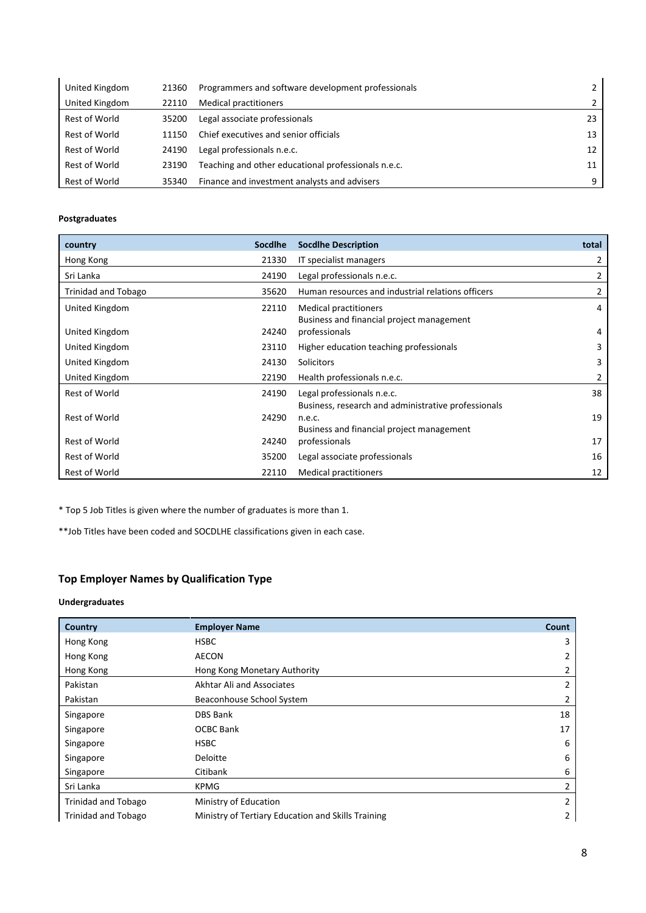| United Kingdom | 21360 | Programmers and software development professionals  | 2             |
|----------------|-------|-----------------------------------------------------|---------------|
| United Kingdom | 22110 | <b>Medical practitioners</b>                        | $\mathcal{P}$ |
| Rest of World  | 35200 | Legal associate professionals                       | 23            |
| Rest of World  | 11150 | Chief executives and senior officials               | 13            |
| Rest of World  | 24190 | Legal professionals n.e.c.                          | 12            |
| Rest of World  | 23190 | Teaching and other educational professionals n.e.c. | 11            |
| Rest of World  | 35340 | Finance and investment analysts and advisers        | q             |

| country                    | Socdlhe | <b>Socdlhe Description</b>                                                        | total |
|----------------------------|---------|-----------------------------------------------------------------------------------|-------|
| Hong Kong                  | 21330   | IT specialist managers                                                            | 2     |
| Sri Lanka                  | 24190   | Legal professionals n.e.c.                                                        | 2     |
| <b>Trinidad and Tobago</b> | 35620   | Human resources and industrial relations officers                                 | 2     |
| United Kingdom             | 22110   | <b>Medical practitioners</b><br>Business and financial project management         | 4     |
| United Kingdom             | 24240   | professionals                                                                     | 4     |
| United Kingdom             | 23110   | Higher education teaching professionals                                           | 3     |
| United Kingdom             | 24130   | Solicitors                                                                        | 3     |
| United Kingdom             | 22190   | Health professionals n.e.c.                                                       | 2     |
| <b>Rest of World</b>       | 24190   | Legal professionals n.e.c.<br>Business, research and administrative professionals | 38    |
| <b>Rest of World</b>       | 24290   | n.e.c.<br>Business and financial project management                               | 19    |
| <b>Rest of World</b>       | 24240   | professionals                                                                     | 17    |
| Rest of World              | 35200   | Legal associate professionals                                                     | 16    |
| <b>Rest of World</b>       | 22110   | <b>Medical practitioners</b>                                                      | 12    |

\* Top 5 Job Titles is given where the number of graduates is more than 1.

\*\*Job Titles have been coded and SOCDLHE classifications given in each case.

## **Top Employer Names by Qualification Type**

### **Undergraduates**

| Country                    | <b>Employer Name</b>                               | Count          |
|----------------------------|----------------------------------------------------|----------------|
| Hong Kong                  | <b>HSBC</b>                                        | 3              |
| Hong Kong                  | AECON                                              | 2              |
| Hong Kong                  | Hong Kong Monetary Authority                       | $\overline{2}$ |
| Pakistan                   | Akhtar Ali and Associates                          | 2              |
| Pakistan                   | Beaconhouse School System                          | 2              |
| Singapore                  | <b>DBS Bank</b>                                    | 18             |
| Singapore                  | <b>OCBC Bank</b>                                   | 17             |
| Singapore                  | <b>HSBC</b>                                        | 6              |
| Singapore                  | Deloitte                                           | 6              |
| Singapore                  | Citibank                                           | 6              |
| Sri Lanka                  | <b>KPMG</b>                                        | $\overline{2}$ |
| <b>Trinidad and Tobago</b> | Ministry of Education                              | $\overline{2}$ |
| <b>Trinidad and Tobago</b> | Ministry of Tertiary Education and Skills Training | 2              |
|                            |                                                    |                |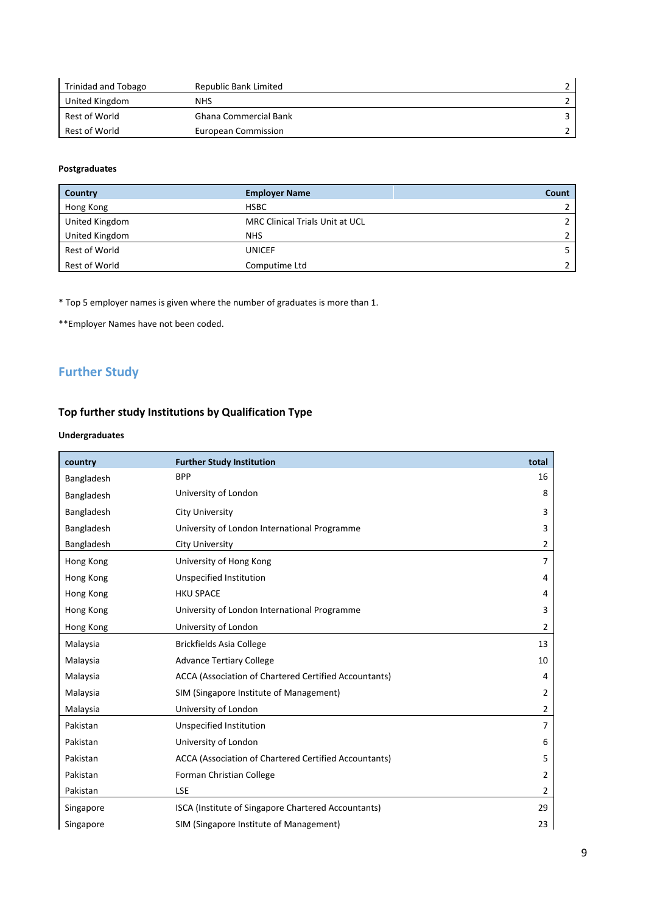| Trinidad and Tobago | Republic Bank Limited        |  |
|---------------------|------------------------------|--|
| United Kingdom      | <b>NHS</b>                   |  |
| Rest of World       | <b>Ghana Commercial Bank</b> |  |
| Rest of World       | European Commission          |  |

| Country        | <b>Employer Name</b>                   | Count |
|----------------|----------------------------------------|-------|
| Hong Kong      | <b>HSBC</b>                            |       |
| United Kingdom | <b>MRC Clinical Trials Unit at UCL</b> |       |
| United Kingdom | <b>NHS</b>                             |       |
| Rest of World  | <b>UNICEF</b>                          |       |
| Rest of World  | Computime Ltd                          |       |

\* Top 5 employer names is given where the number of graduates is more than 1.

\*\*Employer Names have not been coded.

# **Further Study**

### **Top further study Institutions by Qualification Type**

#### **Undergraduates**

| country    | <b>Further Study Institution</b>                      | total          |
|------------|-------------------------------------------------------|----------------|
| Bangladesh | <b>BPP</b>                                            | 16             |
| Bangladesh | University of London                                  | 8              |
| Bangladesh | City University                                       | 3              |
| Bangladesh | University of London International Programme          | 3              |
| Bangladesh | <b>City University</b>                                | $\overline{2}$ |
| Hong Kong  | University of Hong Kong                               | $\overline{7}$ |
| Hong Kong  | Unspecified Institution                               | 4              |
| Hong Kong  | <b>HKU SPACE</b>                                      | 4              |
| Hong Kong  | University of London International Programme          | 3              |
| Hong Kong  | University of London                                  | $\overline{2}$ |
| Malaysia   | <b>Brickfields Asia College</b>                       | 13             |
| Malaysia   | <b>Advance Tertiary College</b>                       | 10             |
| Malaysia   | ACCA (Association of Chartered Certified Accountants) | 4              |
| Malaysia   | SIM (Singapore Institute of Management)               | 2              |
| Malaysia   | University of London                                  | $\overline{2}$ |
| Pakistan   | Unspecified Institution                               | $\overline{7}$ |
| Pakistan   | University of London                                  | 6              |
| Pakistan   | ACCA (Association of Chartered Certified Accountants) | 5              |
| Pakistan   | Forman Christian College                              | 2              |
| Pakistan   | <b>LSE</b>                                            | $\overline{2}$ |
| Singapore  | ISCA (Institute of Singapore Chartered Accountants)   | 29             |
| Singapore  | SIM (Singapore Institute of Management)               | 23             |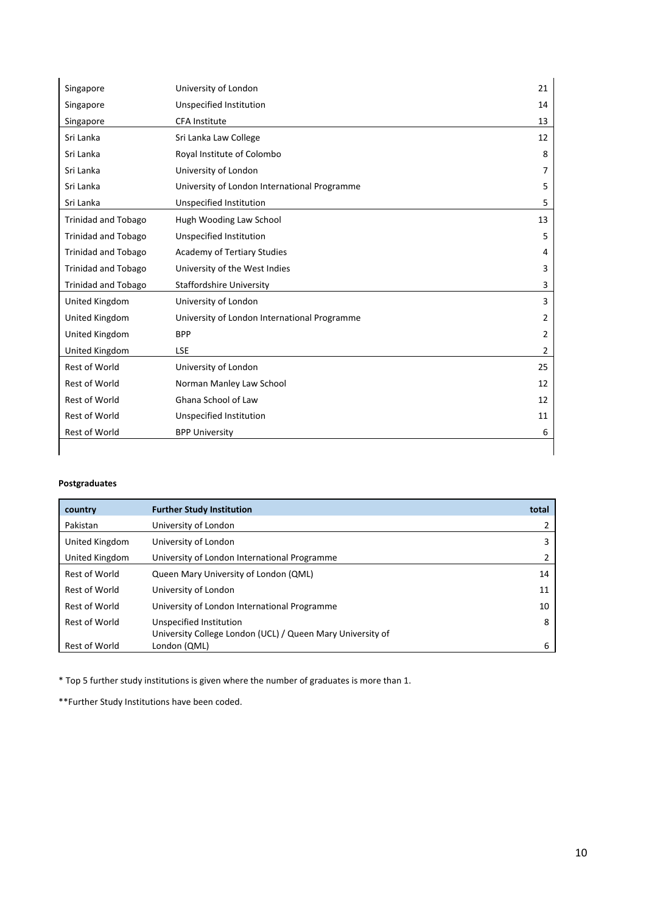| Singapore                  | University of London                         | 21             |
|----------------------------|----------------------------------------------|----------------|
| Singapore                  | Unspecified Institution                      | 14             |
| Singapore                  | <b>CFA Institute</b>                         | 13             |
| Sri Lanka                  | Sri Lanka Law College                        | 12             |
| Sri Lanka                  | Royal Institute of Colombo                   | 8              |
| Sri Lanka                  | University of London                         | 7              |
| Sri Lanka                  | University of London International Programme | 5              |
| Sri Lanka                  | Unspecified Institution                      | 5              |
| <b>Trinidad and Tobago</b> | Hugh Wooding Law School                      | 13             |
| <b>Trinidad and Tobago</b> | <b>Unspecified Institution</b>               | 5              |
| <b>Trinidad and Tobago</b> | <b>Academy of Tertiary Studies</b>           | 4              |
| <b>Trinidad and Tobago</b> | University of the West Indies                | 3              |
| <b>Trinidad and Tobago</b> | <b>Staffordshire University</b>              | 3              |
| United Kingdom             | University of London                         | 3              |
| United Kingdom             | University of London International Programme | $\overline{2}$ |
| United Kingdom             | <b>BPP</b>                                   | 2              |
| United Kingdom             | <b>LSE</b>                                   | 2              |
| <b>Rest of World</b>       | University of London                         | 25             |
| <b>Rest of World</b>       | Norman Manley Law School                     | 12             |
| <b>Rest of World</b>       | Ghana School of Law                          | 12             |
| <b>Rest of World</b>       | Unspecified Institution                      | 11             |
| <b>Rest of World</b>       | <b>BPP University</b>                        | 6              |

| country              | <b>Further Study Institution</b>                           | total |
|----------------------|------------------------------------------------------------|-------|
| Pakistan             | University of London                                       |       |
| United Kingdom       | University of London                                       | 3     |
| United Kingdom       | University of London International Programme               |       |
| Rest of World        | Queen Mary University of London (QML)                      | 14    |
| Rest of World        | University of London                                       | 11    |
| Rest of World        | University of London International Programme               | 10    |
| Rest of World        | Unspecified Institution                                    | 8     |
|                      | University College London (UCL) / Queen Mary University of |       |
| <b>Rest of World</b> | London (QML)                                               | 6     |

\* Top 5 further study institutions is given where the number of graduates is more than 1.

\*\*Further Study Institutions have been coded.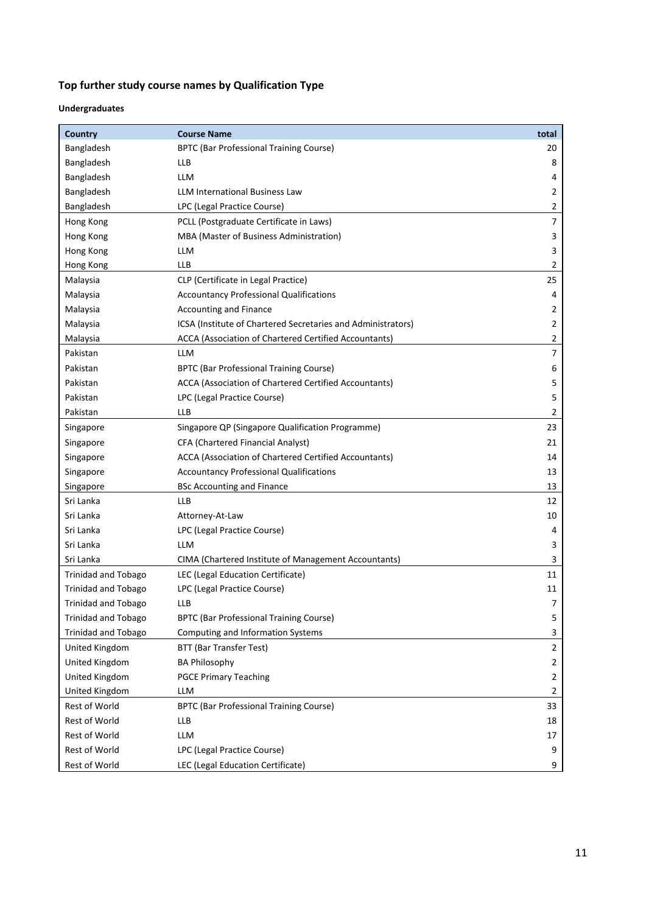## **Top further study course names by Qualification Type**

### **Undergraduates**

| Country                    | <b>Course Name</b>                                           | total          |
|----------------------------|--------------------------------------------------------------|----------------|
| Bangladesh                 | <b>BPTC (Bar Professional Training Course)</b>               | 20             |
| Bangladesh                 | LLB                                                          | 8              |
| Bangladesh                 | LLM                                                          | 4              |
| Bangladesh                 | <b>LLM International Business Law</b>                        | 2              |
| Bangladesh                 | LPC (Legal Practice Course)                                  | 2              |
| Hong Kong                  | PCLL (Postgraduate Certificate in Laws)                      | 7              |
| Hong Kong                  | MBA (Master of Business Administration)                      | 3              |
| Hong Kong                  | LLM                                                          | 3              |
| Hong Kong                  | LLB                                                          | 2              |
| Malaysia                   | CLP (Certificate in Legal Practice)                          | 25             |
| Malaysia                   | <b>Accountancy Professional Qualifications</b>               | 4              |
| Malaysia                   | <b>Accounting and Finance</b>                                | 2              |
| Malaysia                   | ICSA (Institute of Chartered Secretaries and Administrators) | 2              |
| Malaysia                   | ACCA (Association of Chartered Certified Accountants)        | 2              |
| Pakistan                   | <b>LLM</b>                                                   | $\overline{7}$ |
| Pakistan                   | BPTC (Bar Professional Training Course)                      | 6              |
| Pakistan                   | ACCA (Association of Chartered Certified Accountants)        | 5              |
| Pakistan                   | LPC (Legal Practice Course)                                  | 5              |
| Pakistan                   | LLB                                                          | 2              |
| Singapore                  | Singapore QP (Singapore Qualification Programme)             | 23             |
| Singapore                  | CFA (Chartered Financial Analyst)                            | 21             |
| Singapore                  | ACCA (Association of Chartered Certified Accountants)        | 14             |
| Singapore                  | <b>Accountancy Professional Qualifications</b>               | 13             |
| Singapore                  | <b>BSc Accounting and Finance</b>                            | 13             |
| Sri Lanka                  | LLB                                                          | 12             |
| Sri Lanka                  | Attorney-At-Law                                              | 10             |
| Sri Lanka                  | LPC (Legal Practice Course)                                  | 4              |
| Sri Lanka                  | LLM                                                          | 3              |
| Sri Lanka                  | CIMA (Chartered Institute of Management Accountants)         | 3              |
| <b>Trinidad and Tobago</b> | LEC (Legal Education Certificate)                            | 11             |
| <b>Trinidad and Tobago</b> | LPC (Legal Practice Course)                                  | 11             |
| Trinidad and Tobago        | LLB                                                          | 7              |
| <b>Trinidad and Tobago</b> | <b>BPTC (Bar Professional Training Course)</b>               | 5              |
| <b>Trinidad and Tobago</b> | Computing and Information Systems                            | 3              |
| United Kingdom             | BTT (Bar Transfer Test)                                      | $\mathbf 2$    |
| United Kingdom             | <b>BA Philosophy</b>                                         | 2              |
| United Kingdom             | <b>PGCE Primary Teaching</b>                                 | 2              |
| United Kingdom             | LLM                                                          | 2              |
| Rest of World              | BPTC (Bar Professional Training Course)                      | 33             |
| Rest of World              | <b>LLB</b>                                                   | 18             |
| Rest of World              | <b>LLM</b>                                                   | 17             |
| Rest of World              | LPC (Legal Practice Course)                                  | 9              |
| Rest of World              | LEC (Legal Education Certificate)                            | 9              |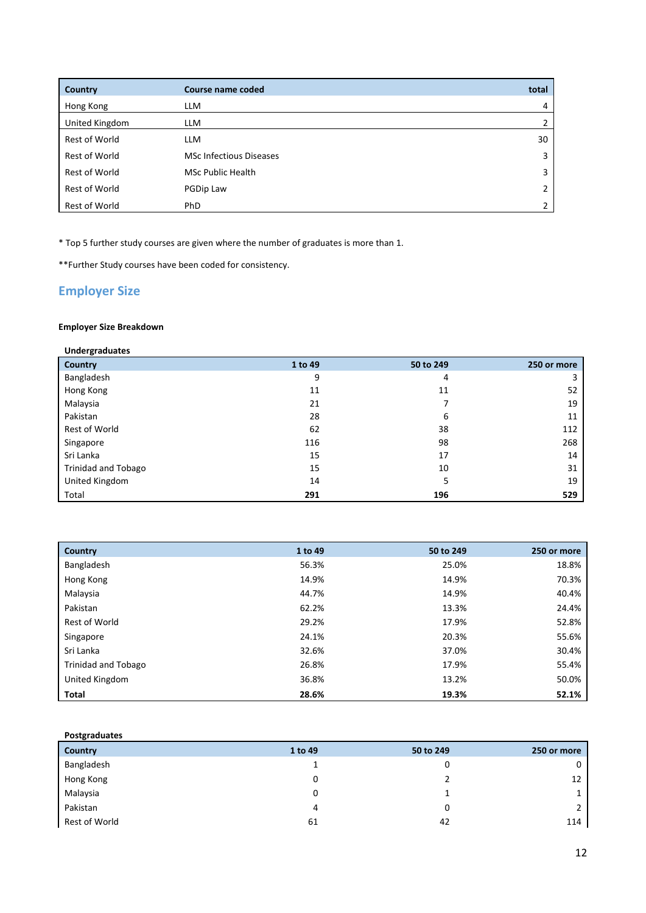| Country        | Course name coded              | total |
|----------------|--------------------------------|-------|
| Hong Kong      | <b>LLM</b>                     | 4     |
| United Kingdom | <b>LLM</b>                     |       |
| Rest of World  | <b>LLM</b>                     | 30    |
| Rest of World  | <b>MSc Infectious Diseases</b> | 3     |
| Rest of World  | <b>MSc Public Health</b>       | 3     |
| Rest of World  | PGDip Law                      | 2     |
| Rest of World  | PhD                            |       |

\* Top 5 further study courses are given where the number of graduates is more than 1.

\*\*Further Study courses have been coded for consistency.

### **Employer Size**

### **Employer Size Breakdown**

| <b>Undergraduates</b>      |         |           |             |
|----------------------------|---------|-----------|-------------|
| <b>Country</b>             | 1 to 49 | 50 to 249 | 250 or more |
| Bangladesh                 | 9       | 4         | 3           |
| Hong Kong                  | 11      | 11        | 52          |
| Malaysia                   | 21      |           | 19          |
| Pakistan                   | 28      | 6         | 11          |
| Rest of World              | 62      | 38        | 112         |
| Singapore                  | 116     | 98        | 268         |
| Sri Lanka                  | 15      | 17        | 14          |
| <b>Trinidad and Tobago</b> | 15      | 10        | 31          |
| United Kingdom             | 14      | 5         | 19          |
| Total                      | 291     | 196       | 529         |

| Country             | 1 to 49 | 50 to 249 | 250 or more |
|---------------------|---------|-----------|-------------|
| Bangladesh          | 56.3%   | 25.0%     | 18.8%       |
| Hong Kong           | 14.9%   | 14.9%     | 70.3%       |
| Malaysia            | 44.7%   | 14.9%     | 40.4%       |
| Pakistan            | 62.2%   | 13.3%     | 24.4%       |
| Rest of World       | 29.2%   | 17.9%     | 52.8%       |
| Singapore           | 24.1%   | 20.3%     | 55.6%       |
| Sri Lanka           | 32.6%   | 37.0%     | 30.4%       |
| Trinidad and Tobago | 26.8%   | 17.9%     | 55.4%       |
| United Kingdom      | 36.8%   | 13.2%     | 50.0%       |
| Total               | 28.6%   | 19.3%     | 52.1%       |

### **Postgraduates**

| Country       | 1 to 49 | 50 to 249 | 250 or more    |
|---------------|---------|-----------|----------------|
| Bangladesh    | ∸       | 0         | $\mathbf{0}$   |
| Hong Kong     | 0       |           | 12             |
| Malaysia      | 0       |           | $\mathbf{1}$   |
| Pakistan      | 4       |           | $\overline{2}$ |
| Rest of World | 61      | 42        | 114            |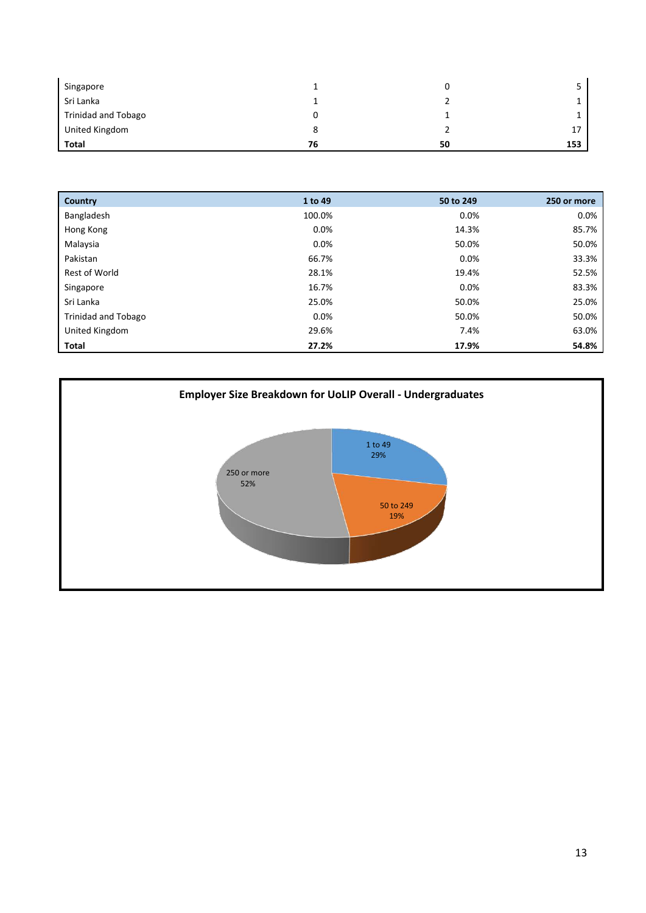| Singapore           |    |    |     |
|---------------------|----|----|-----|
| Sri Lanka           |    |    |     |
| Trinidad and Tobago |    |    |     |
| United Kingdom      | 8  |    |     |
| Total               | 76 | 50 | 153 |

| Country                    | 1 to 49 | 50 to 249 | 250 or more |
|----------------------------|---------|-----------|-------------|
| Bangladesh                 | 100.0%  | 0.0%      | $0.0\%$     |
| Hong Kong                  | 0.0%    | 14.3%     | 85.7%       |
| Malaysia                   | 0.0%    | 50.0%     | 50.0%       |
| Pakistan                   | 66.7%   | 0.0%      | 33.3%       |
| Rest of World              | 28.1%   | 19.4%     | 52.5%       |
| Singapore                  | 16.7%   | 0.0%      | 83.3%       |
| Sri Lanka                  | 25.0%   | 50.0%     | 25.0%       |
| <b>Trinidad and Tobago</b> | $0.0\%$ | 50.0%     | 50.0%       |
| United Kingdom             | 29.6%   | 7.4%      | 63.0%       |
| <b>Total</b>               | 27.2%   | 17.9%     | 54.8%       |

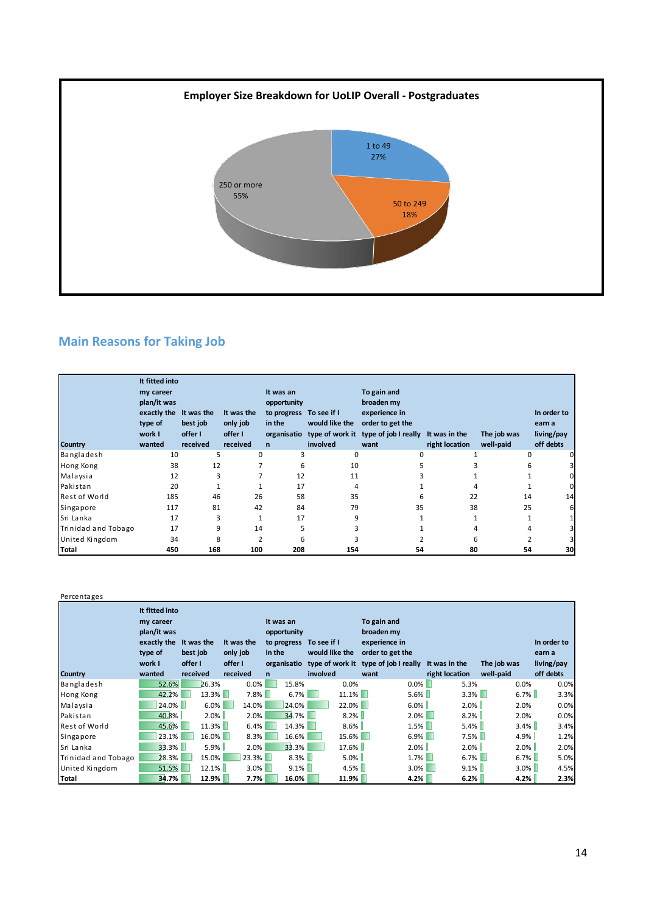

# **Main Reasons for Taking Job**

| Country              | It fitted into<br>my career<br>plan/it was<br>exactly the<br>type of<br>work I<br>wanted | It was the<br>best job<br>offer I<br>received | It was the<br>only job<br>offer I<br>received | It was an<br>opportunity<br>to progress To see if I<br>in the<br>$\mathsf{n}$ | would like the<br>involved | To gain and<br>broaden my<br>experience in<br>order to get the<br>organisatio type of work it type of job I really It was in the<br>want | right location | The job was<br>well-paid | In order to<br>earn a<br>living/pay<br>off debts |
|----------------------|------------------------------------------------------------------------------------------|-----------------------------------------------|-----------------------------------------------|-------------------------------------------------------------------------------|----------------------------|------------------------------------------------------------------------------------------------------------------------------------------|----------------|--------------------------|--------------------------------------------------|
| Bangladesh           | 10                                                                                       | 5                                             | 0                                             | 3                                                                             | 0                          | 0                                                                                                                                        |                | 0                        |                                                  |
| Hong Kong            | 38                                                                                       | 12                                            |                                               | 6                                                                             | 10                         |                                                                                                                                          |                | 6                        |                                                  |
| Malaysia             | 12                                                                                       | 3                                             |                                               | 12                                                                            | 11                         |                                                                                                                                          |                |                          |                                                  |
| Pakistan             | 20                                                                                       |                                               |                                               | 17                                                                            | 4                          |                                                                                                                                          |                |                          |                                                  |
| <b>Rest of World</b> | 185                                                                                      | 46                                            | 26                                            | 58                                                                            | 35                         | 6                                                                                                                                        | 22             | 14                       | 14                                               |
| Singapore            | 117                                                                                      | 81                                            | 42                                            | 84                                                                            | 79                         | 35                                                                                                                                       | 38             | 25                       |                                                  |
| Sri Lanka            | 17                                                                                       | 3                                             |                                               | 17                                                                            | 9                          |                                                                                                                                          |                |                          |                                                  |
| Trinidad and Tobago  | 17                                                                                       | 9                                             | 14                                            | 5                                                                             |                            |                                                                                                                                          |                |                          |                                                  |
| United Kingdom       | 34                                                                                       | 8                                             | 2                                             | 6                                                                             |                            |                                                                                                                                          | 6              |                          |                                                  |
| Total                | 450                                                                                      | 168                                           | 100                                           | 208                                                                           | 154                        | 54                                                                                                                                       | 80             | 54                       | 30                                               |

Percentages

|                      | It fitted into<br>my career<br>plan/it was<br>exactly the<br>type of<br>work I | It was the<br>best job<br>offer I | It was the<br>only job<br>offer I | It was an<br>opportunity<br>to progress<br>in the | To see if I<br>would like the<br>organisatio type of work it | To gain and<br>broaden my<br>experience in<br>order to get the<br>type of job I really It was in the |                | The job was | In order to<br>earn a<br>living/pay |
|----------------------|--------------------------------------------------------------------------------|-----------------------------------|-----------------------------------|---------------------------------------------------|--------------------------------------------------------------|------------------------------------------------------------------------------------------------------|----------------|-------------|-------------------------------------|
| <b>Country</b>       | wanted                                                                         | received                          | received                          | n                                                 | involved                                                     | want                                                                                                 | right location | well-paid   | off debts                           |
| Bangladesh           | 52.6%                                                                          | 26.3%                             | 0.0%                              | 15.8%                                             | 0.0%                                                         | $0.0\%$                                                                                              | 5.3%           | $0.0\%$     | 0.0%                                |
| Hong Kong            | 42.2%                                                                          | $13.3\%$                          | $7.8\%$                           | 6.7%                                              | $11.1\%$                                                     | $5.6\%$                                                                                              | $3.3\%$        | $6.7\%$     | 3.3%                                |
| Malaysia             | 24.0%                                                                          | 6.0%                              | 14.0%                             | 24.0%                                             | $22.0\%$                                                     | $6.0\%$                                                                                              | $2.0\%$        | 2.0%        | 0.0%                                |
| Pakistan             | 40.8%                                                                          | 2.0%                              | 2.0%                              | $34.7\%$                                          | 8.2%                                                         | $2.0\%$                                                                                              | 8.2%           | 2.0%        | 0.0%                                |
| <b>Rest of World</b> | 45.6%                                                                          | $11.3\%$                          | 6.4%                              | 14.3%                                             | $8.6\%$                                                      | $1.5\%$                                                                                              | $5.4\%$        | $3.4\%$     | 3.4%                                |
| Singapore            | 23.1%                                                                          | $16.0\%$                          | 8.3%                              | 16.6%                                             | $15.6\%$                                                     | $6.9\%$                                                                                              | 7.5%           | 4.9%        | 1.2%                                |
| Sri Lanka            | 33.3%                                                                          | $5.9\%$                           | 2.0%                              | 33.3%                                             | 17.6%                                                        | $2.0\%$                                                                                              | $2.0\%$        | 2.0%        | 2.0%                                |
| Trinidad and Tobago  | 28.3%                                                                          | 15.0%                             | $23.3\%$                          | $8.3\%$                                           | $5.0\%$                                                      | $1.7\%$                                                                                              | $6.7\%$        | $6.7\%$     | 5.0%                                |
| United Kingdom       | 51.5%                                                                          | 12.1%                             | $3.0\%$                           | $9.1\%$                                           | $4.5\%$                                                      | $3.0\%$                                                                                              | $9.1\%$        | $3.0\%$     | 4.5%                                |
| <b>Total</b>         | 34.7%                                                                          | 12.9%                             | 7.7%                              | 16.0%                                             | 11.9%                                                        | 4.2%                                                                                                 | 6.2%           | 4.2%        | 2.3%                                |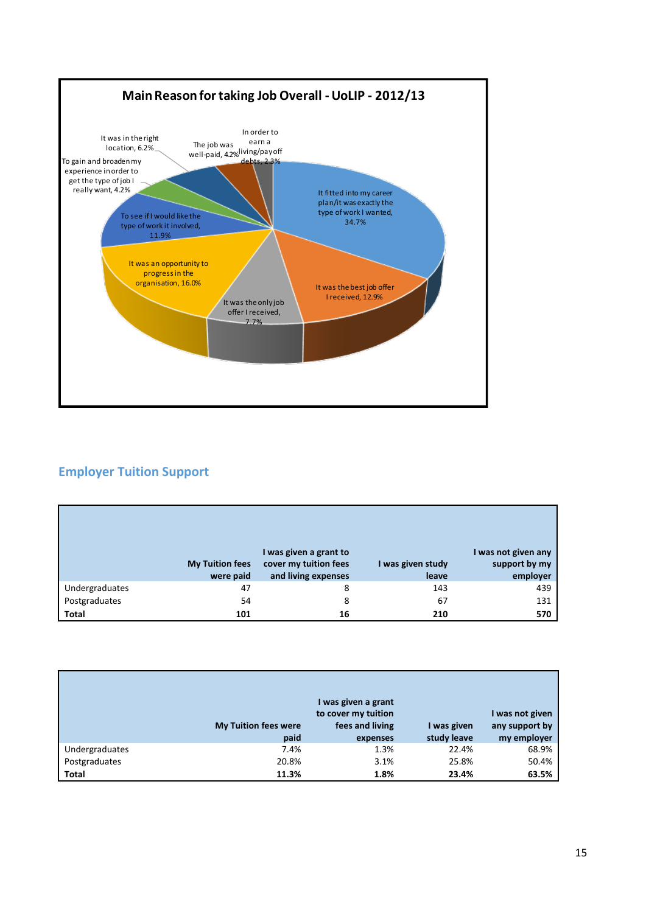

## **Employer Tuition Support**

|                | <b>My Tuition fees</b><br>were paid | I was given a grant to<br>cover my tuition fees<br>and living expenses | I was given study<br>leave | I was not given any<br>support by my<br>employer |
|----------------|-------------------------------------|------------------------------------------------------------------------|----------------------------|--------------------------------------------------|
| Undergraduates | 47                                  | 8                                                                      | 143                        | 439                                              |
| Postgraduates  | 54                                  | 8                                                                      | 67                         | 131                                              |
| <b>Total</b>   | 101                                 | 16                                                                     | 210                        | 570                                              |

|                | <b>My Tuition fees were</b><br>paid | I was given a grant<br>to cover my tuition<br>fees and living<br>expenses | I was given<br>study leave | I was not given<br>any support by<br>my employer |
|----------------|-------------------------------------|---------------------------------------------------------------------------|----------------------------|--------------------------------------------------|
| Undergraduates | 7.4%                                | 1.3%                                                                      | 22.4%                      | 68.9%                                            |
| Postgraduates  | 20.8%                               | 3.1%                                                                      | 25.8%                      | 50.4%                                            |
| <b>Total</b>   | 11.3%                               | 1.8%                                                                      | 23.4%                      | 63.5%                                            |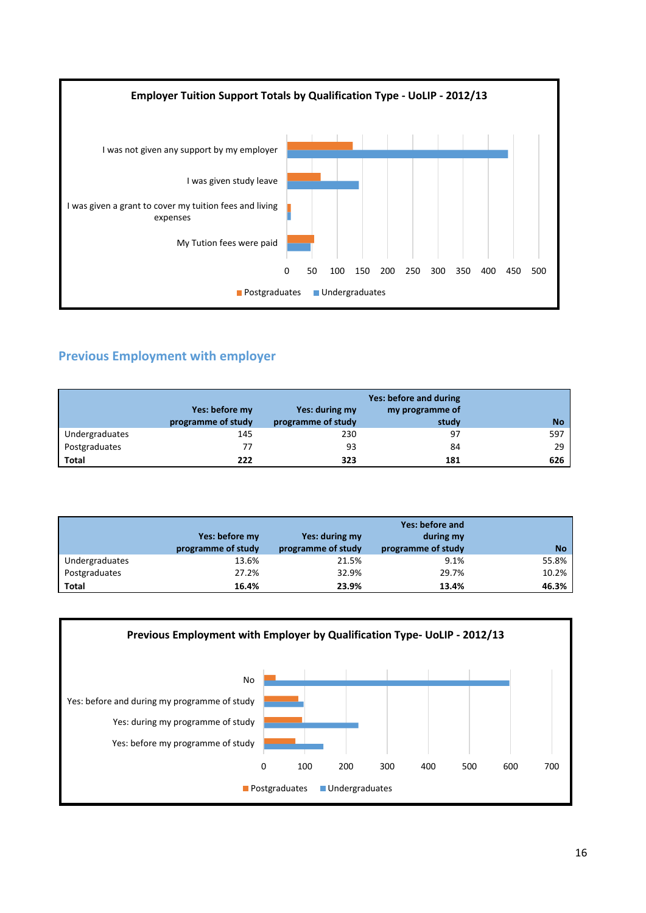

# **Previous Employment with employer**

|                | Yes: before my<br>programme of study | Yes: during my<br>programme of study | Yes: before and during<br>my programme of<br>study | <b>No</b> |
|----------------|--------------------------------------|--------------------------------------|----------------------------------------------------|-----------|
| Undergraduates | 145                                  | 230                                  | 97                                                 | 597       |
| Postgraduates  | 77                                   | 93                                   | 84                                                 | 29        |
| <b>Total</b>   | 222                                  | 323                                  | 181                                                | 626       |

|                | Yes: before my<br>programme of study | Yes: during my<br>programme of study | Yes: before and<br>during my<br>programme of study | <b>No</b> |
|----------------|--------------------------------------|--------------------------------------|----------------------------------------------------|-----------|
| Undergraduates | 13.6%                                | 21.5%                                | 9.1%                                               | 55.8%     |
| Postgraduates  | 27.2%                                | 32.9%                                | 29.7%                                              | 10.2%     |
| <b>Total</b>   | 16.4%                                | 23.9%                                | 13.4%                                              | 46.3%     |

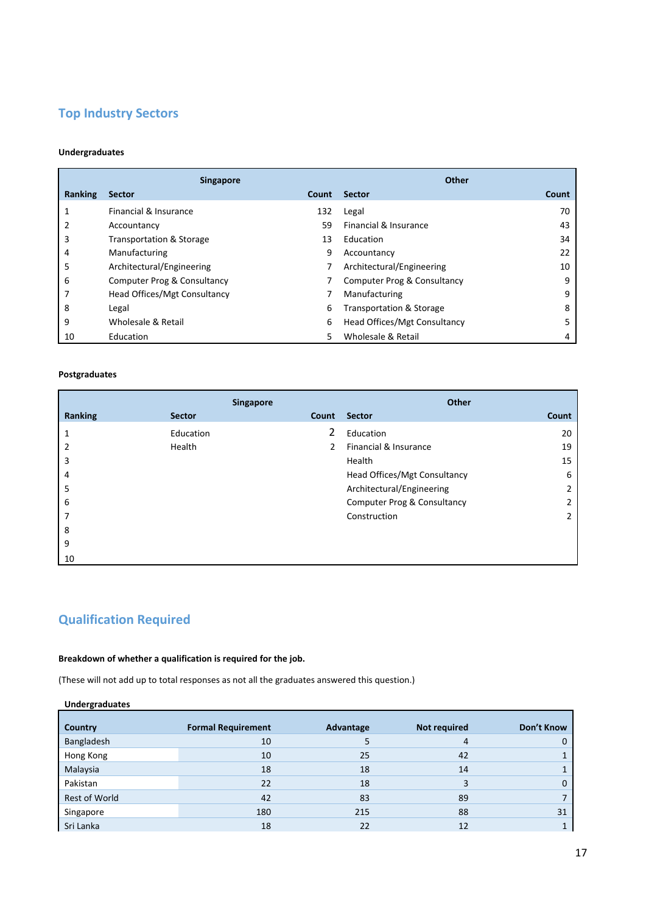### **Top Industry Sectors**

#### **Undergraduates**

|         | <b>Singapore</b>                    |       | Other                               |       |
|---------|-------------------------------------|-------|-------------------------------------|-------|
| Ranking | <b>Sector</b>                       | Count | <b>Sector</b>                       | Count |
|         | Financial & Insurance               | 132   | Legal                               | 70    |
|         | Accountancy                         | 59    | Financial & Insurance               | 43    |
| 3       | <b>Transportation &amp; Storage</b> | 13    | Education                           | 34    |
| 4       | Manufacturing                       | 9     | Accountancy                         | 22    |
| 5       | Architectural/Engineering           |       | Architectural/Engineering           | 10    |
| 6       | Computer Prog & Consultancy         |       | Computer Prog & Consultancy         | 9     |
|         | <b>Head Offices/Mgt Consultancy</b> |       | Manufacturing                       | 9     |
| 8       | Legal                               | 6     | <b>Transportation &amp; Storage</b> | 8     |
| 9       | Wholesale & Retail                  | 6     | Head Offices/Mgt Consultancy        |       |
| 10      | Education                           | 5     | Wholesale & Retail                  | 4     |

#### **Postgraduates**

|                | <b>Singapore</b> |       | Other                        |       |
|----------------|------------------|-------|------------------------------|-------|
| Ranking        | <b>Sector</b>    | Count | <b>Sector</b>                | Count |
| 1              | Education        | 2     | Education                    | 20    |
| $\overline{2}$ | Health           | 2     | Financial & Insurance        | 19    |
| 3              |                  |       | Health                       | 15    |
| 4              |                  |       | Head Offices/Mgt Consultancy | 6     |
| 5              |                  |       | Architectural/Engineering    | 2     |
| 6              |                  |       | Computer Prog & Consultancy  | 2     |
| 7              |                  |       | Construction                 | 2     |
| 8              |                  |       |                              |       |
| 9              |                  |       |                              |       |
| 10             |                  |       |                              |       |

## **Qualification Required**

### **Breakdown of whether a qualification is required for the job.**

(These will not add up to total responses as not all the graduates answered this question.)

| <b>Undergraduates</b> |                           |           |                     |            |
|-----------------------|---------------------------|-----------|---------------------|------------|
| Country               | <b>Formal Requirement</b> | Advantage | <b>Not required</b> | Don't Know |
| Bangladesh            | 10                        | 5         | 4                   | 0          |
| Hong Kong             | 10                        | 25        | 42                  |            |
| Malaysia              | 18                        | 18        | 14                  |            |
| Pakistan              | 22                        | 18        |                     | 0          |
| Rest of World         | 42                        | 83        | 89                  |            |
| Singapore             | 180                       | 215       | 88                  | 31         |
| Sri Lanka             | 18                        | 22        | 12                  |            |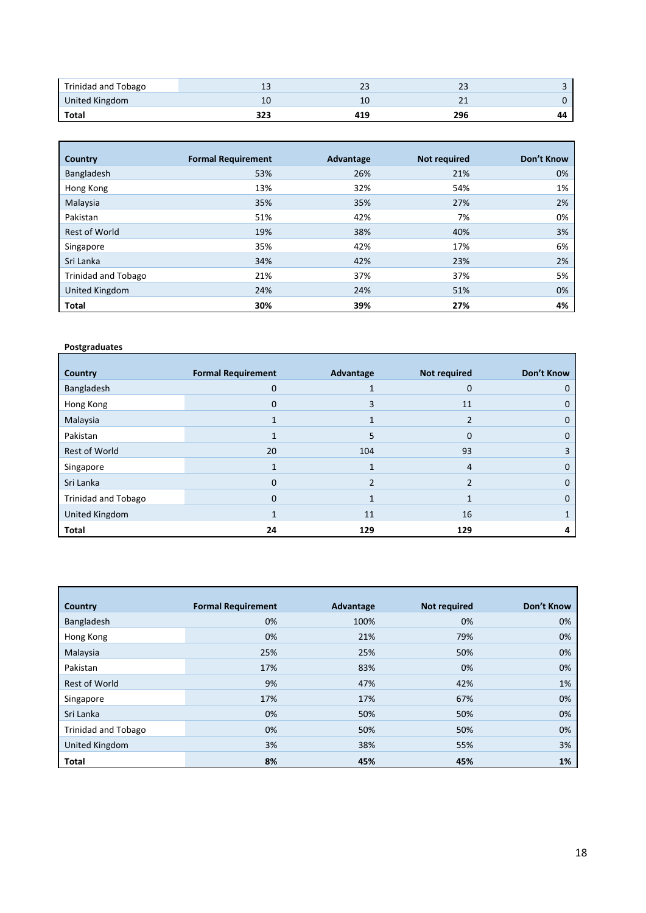| Trinidad and Tobago | ᅩ   | ر ے | <u>_ _</u> |    |
|---------------------|-----|-----|------------|----|
| United Kingdom      | 10  | 10  | --         |    |
| Total               | 323 | 419 | 296        | 44 |

| Country              | <b>Formal Requirement</b> | Advantage | <b>Not required</b> | Don't Know |
|----------------------|---------------------------|-----------|---------------------|------------|
| Bangladesh           | 53%                       | 26%       | 21%                 | 0%         |
| Hong Kong            | 13%                       | 32%       | 54%                 | 1%         |
| Malaysia             | 35%                       | 35%       | 27%                 | 2%         |
| Pakistan             | 51%                       | 42%       | 7%                  | 0%         |
| <b>Rest of World</b> | 19%                       | 38%       | 40%                 | 3%         |
| Singapore            | 35%                       | 42%       | 17%                 | 6%         |
| Sri Lanka            | 34%                       | 42%       | 23%                 | 2%         |
| Trinidad and Tobago  | 21%                       | 37%       | 37%                 | 5%         |
| United Kingdom       | 24%                       | 24%       | 51%                 | 0%         |
| Total                | 30%                       | 39%       | 27%                 | 4%         |

| Country                    | <b>Formal Requirement</b> | Advantage | <b>Not required</b> | Don't Know |
|----------------------------|---------------------------|-----------|---------------------|------------|
| Bangladesh                 | 0                         |           | 0                   | 0          |
| Hong Kong                  | 0                         | 3         | 11                  | 0          |
| Malaysia                   |                           |           | 2                   | 0          |
| Pakistan                   |                           | 5         | $\mathbf 0$         | 0          |
| Rest of World              | 20                        | 104       | 93                  | 3          |
| Singapore                  |                           |           | $\overline{4}$      | 0          |
| Sri Lanka                  | $\Omega$                  |           | $\mathfrak z$       | 0          |
| <b>Trinidad and Tobago</b> | $\Omega$                  |           |                     | 0          |
| United Kingdom             |                           | 11        | 16                  | 1          |
| <b>Total</b>               | 24                        | 129       | 129                 | 4          |

| Country                    | <b>Formal Requirement</b> | Advantage | <b>Not required</b> | Don't Know |
|----------------------------|---------------------------|-----------|---------------------|------------|
| Bangladesh                 | 0%                        | 100%      | 0%                  | 0%         |
| Hong Kong                  | 0%                        | 21%       | 79%                 | 0%         |
| Malaysia                   | 25%                       | 25%       | 50%                 | 0%         |
| Pakistan                   | 17%                       | 83%       | 0%                  | 0%         |
| Rest of World              | 9%                        | 47%       | 42%                 | 1%         |
| Singapore                  | 17%                       | 17%       | 67%                 | 0%         |
| Sri Lanka                  | 0%                        | 50%       | 50%                 | 0%         |
| <b>Trinidad and Tobago</b> | 0%                        | 50%       | 50%                 | 0%         |
| United Kingdom             | 3%                        | 38%       | 55%                 | 3%         |
| Total                      | 8%                        | 45%       | 45%                 | 1%         |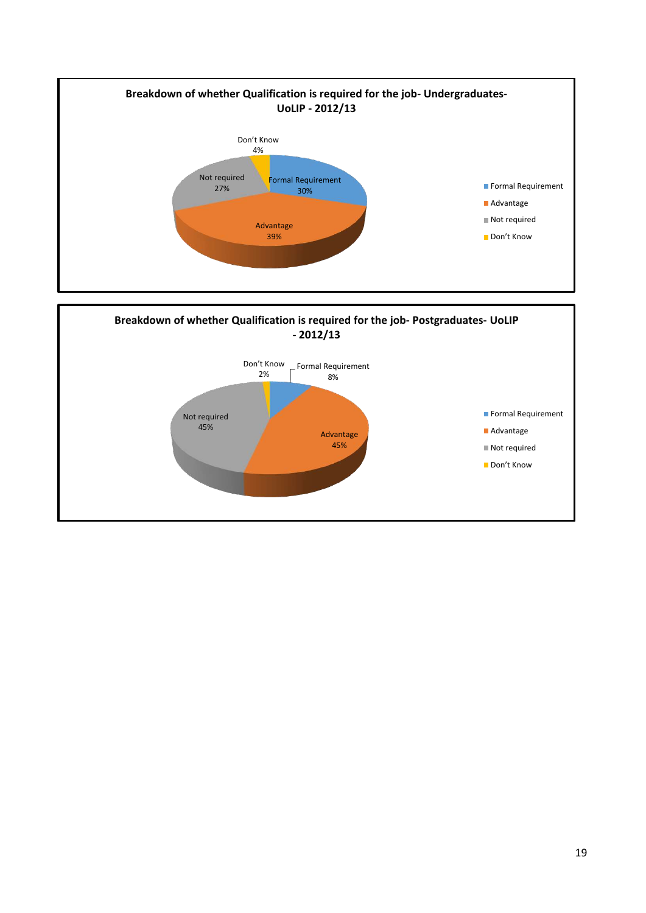

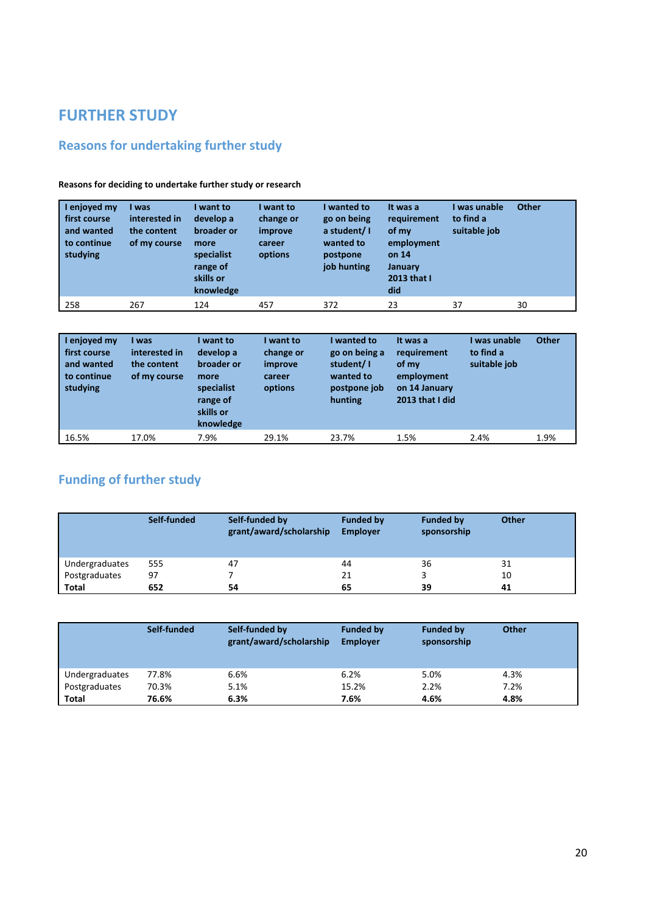# **FURTHER STUDY**

# **Reasons for undertaking further study**

| enjoyed my<br>first course<br>and wanted<br>to continue<br>studying | I was<br>interested in<br>the content<br>of my course | want to<br>develop a<br>broader or<br>more<br>specialist<br>range of<br>skills or<br>knowledge | I want to<br>change or<br>improve<br>career<br>options | I wanted to<br>go on being<br>a student/I<br>wanted to<br>postpone<br>job hunting | It was a<br>requirement<br>of my<br>employment<br>on 14<br>January<br>2013 that I<br>did | l was unable<br>to find a<br>suitable job | <b>Other</b> |
|---------------------------------------------------------------------|-------------------------------------------------------|------------------------------------------------------------------------------------------------|--------------------------------------------------------|-----------------------------------------------------------------------------------|------------------------------------------------------------------------------------------|-------------------------------------------|--------------|
| 258                                                                 | 267                                                   | 124                                                                                            | 457                                                    | 372                                                                               | 23                                                                                       | 37                                        | 30           |

**Reasons for deciding to undertake further study or research** 

| enjoyed my<br>first course<br>and wanted<br>to continue<br>studying | I was<br>interested in<br>the content<br>of my course | I want to<br>develop a<br>broader or<br>more<br>specialist<br>range of<br>skills or<br>knowledge | I want to<br>change or<br>improve<br>career<br>options | I wanted to<br>go on being a<br>student/I<br>wanted to<br>postpone job<br>hunting | It was a<br>requirement<br>of my<br>employment<br>on 14 January<br>2013 that I did | was unable<br>to find a<br>suitable job | <b>Other</b> |
|---------------------------------------------------------------------|-------------------------------------------------------|--------------------------------------------------------------------------------------------------|--------------------------------------------------------|-----------------------------------------------------------------------------------|------------------------------------------------------------------------------------|-----------------------------------------|--------------|
| 16.5%                                                               | 17.0%                                                 | 7.9%                                                                                             | 29.1%                                                  | 23.7%                                                                             | 1.5%                                                                               | 2.4%                                    | 1.9%         |

# **Funding of further study**

|                | Self-funded | Self-funded by<br>grant/award/scholarship | <b>Funded by</b><br><b>Employer</b> | <b>Funded by</b><br>sponsorship | <b>Other</b> |
|----------------|-------------|-------------------------------------------|-------------------------------------|---------------------------------|--------------|
| Undergraduates | 555         | 47                                        | 44                                  | 36                              | 31           |
| Postgraduates  | 97          |                                           | 21                                  |                                 | 10           |
| <b>Total</b>   | 652         | 54                                        | 65                                  | 39                              | 41           |

|                | Self-funded | Self-funded by<br>grant/award/scholarship | <b>Funded by</b><br><b>Employer</b> | <b>Funded by</b><br>sponsorship | Other |
|----------------|-------------|-------------------------------------------|-------------------------------------|---------------------------------|-------|
| Undergraduates | 77.8%       | 6.6%                                      | 6.2%                                | 5.0%                            | 4.3%  |
| Postgraduates  | 70.3%       | 5.1%                                      | 15.2%                               | 2.2%                            | 7.2%  |
| <b>Total</b>   | 76.6%       | 6.3%                                      | 7.6%                                | 4.6%                            | 4.8%  |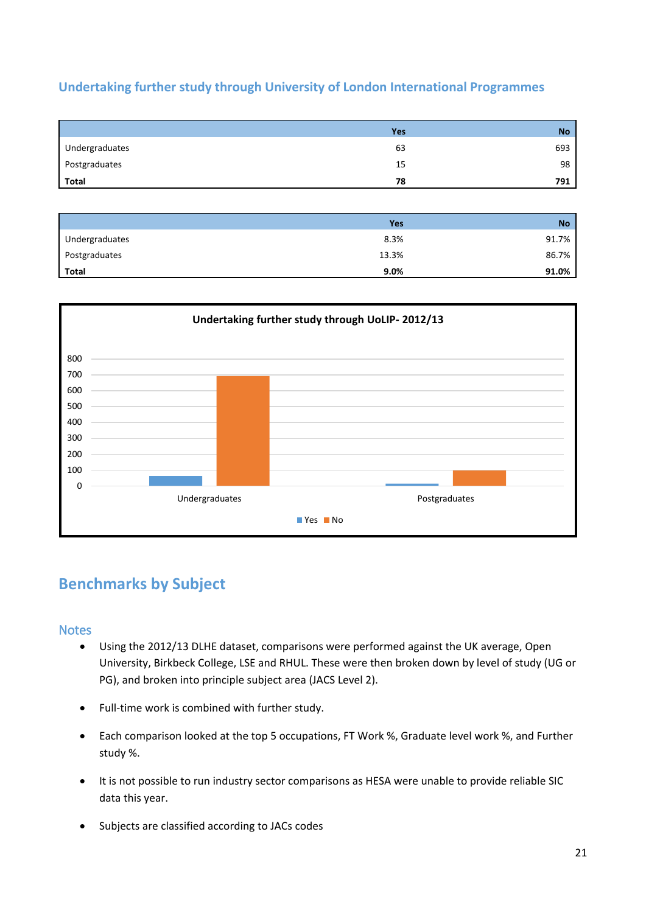### **Undertaking further study through University of London International Programmes**

|                | <b>Yes</b> | <b>No</b> |
|----------------|------------|-----------|
| Undergraduates | 63         | 693       |
| Postgraduates  | 15         | 98        |
| Total          | 78         | 791       |

|                | Yes     | <b>No</b> |
|----------------|---------|-----------|
| Undergraduates | 8.3%    | 91.7%     |
| Postgraduates  | 13.3%   | 86.7%     |
| <b>Total</b>   | $9.0\%$ | 91.0%     |



# **Benchmarks by Subject**

### **Notes**

- Using the 2012/13 DLHE dataset, comparisons were performed against the UK average, Open University, Birkbeck College, LSE and RHUL. These were then broken down by level of study (UG or PG), and broken into principle subject area (JACS Level 2).
- Full-time work is combined with further study.
- Each comparison looked at the top 5 occupations, FT Work %, Graduate level work %, and Further study %.
- It is not possible to run industry sector comparisons as HESA were unable to provide reliable SIC data this year.
- Subjects are classified according to JACs codes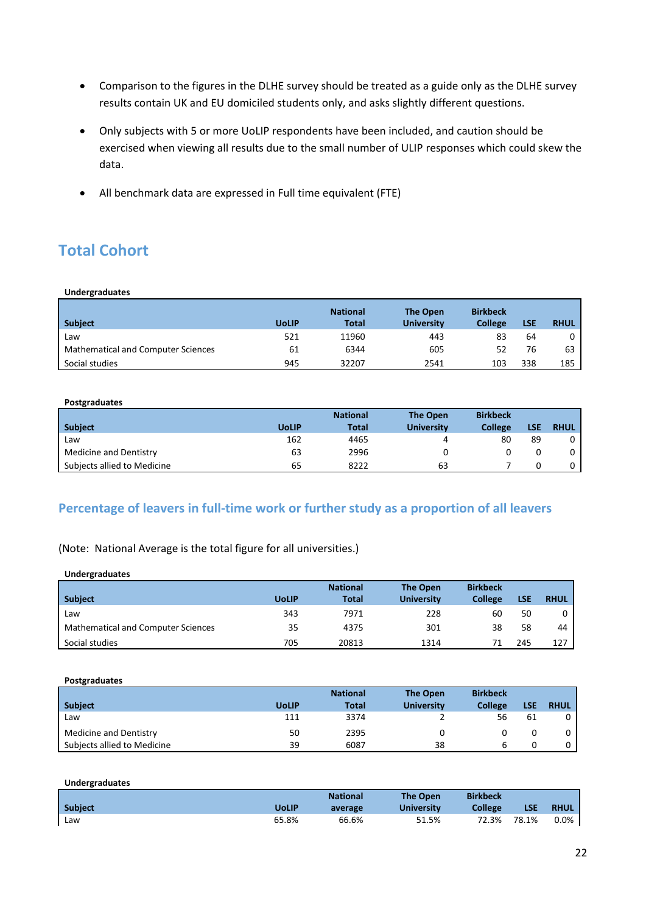- Comparison to the figures in the DLHE survey should be treated as a guide only as the DLHE survey results contain UK and EU domiciled students only, and asks slightly different questions.
- Only subjects with 5 or more UoLIP respondents have been included, and caution should be exercised when viewing all results due to the small number of ULIP responses which could skew the data.
- All benchmark data are expressed in Full time equivalent (FTE)

# **Total Cohort**

#### **Undergraduates**

| <b>Subject</b>                            | <b>UoLIP</b> | <b>National</b><br>Total | The Open<br><b>University</b> | <b>Birkbeck</b><br><b>College</b> | LSE | <b>RHUL</b> |
|-------------------------------------------|--------------|--------------------------|-------------------------------|-----------------------------------|-----|-------------|
| Law                                       | 521          | 11960                    | 443                           | 83                                | 64  |             |
| <b>Mathematical and Computer Sciences</b> | 61           | 6344                     | 605                           | 52                                | 76  | 63          |
| Social studies                            | 945          | 32207                    | 2541                          | 103                               | 338 | 185         |

#### **Postgraduates**

|                             |              | <b>National</b> | <b>The Open</b>   | <b>Birkbeck</b> |     |             |
|-----------------------------|--------------|-----------------|-------------------|-----------------|-----|-------------|
| <b>Subject</b>              | <b>UoLIP</b> | <b>Total</b>    | <b>University</b> | <b>College</b>  | LSE | <b>RHUL</b> |
| Law                         | 162          | 4465            |                   | 80              | 89  |             |
| Medicine and Dentistry      | 63           | 2996            |                   |                 |     |             |
| Subjects allied to Medicine | 65           | 8222            | 63                |                 |     |             |

### **Percentage of leavers in full-time work or further study as a proportion of all leavers**

(Note: National Average is the total figure for all universities.)

| <b>Undergraduates</b>                     |              |                 |                   |                 |            |             |
|-------------------------------------------|--------------|-----------------|-------------------|-----------------|------------|-------------|
|                                           |              | <b>National</b> | <b>The Open</b>   | <b>Birkbeck</b> |            |             |
| <b>Subject</b>                            | <b>UoLIP</b> | <b>Total</b>    | <b>University</b> | <b>College</b>  | <b>LSE</b> | <b>RHUL</b> |
| Law                                       | 343          | 7971            | 228               | 60              | 50         | 0           |
| <b>Mathematical and Computer Sciences</b> | 35           | 4375            | 301               | 38              | 58         | 44          |
| Social studies                            | 705          | 20813           | 1314              | 71              | 245        | 127         |

#### **Postgraduates**

|                             |              | <b>National</b> | The Open          | <b>Birkbeck</b> |     |             |
|-----------------------------|--------------|-----------------|-------------------|-----------------|-----|-------------|
| <b>Subject</b>              | <b>UoLIP</b> | <b>Total</b>    | <b>University</b> | <b>College</b>  | LSE | <b>RHUL</b> |
| Law                         | 111          | 3374            |                   | 56              | 61  |             |
| Medicine and Dentistry      | 50           | 2395            |                   |                 |     |             |
| Subjects allied to Medicine | 39           | 6087            | 38                | b               |     |             |

#### **Undergraduates**

|                |              | <b>National</b> | <b>The Open</b>   | <b>Birkbeck</b> |            |             |
|----------------|--------------|-----------------|-------------------|-----------------|------------|-------------|
| <b>Subject</b> | <b>UoLIP</b> | average         | <b>University</b> | <b>College</b>  | <b>LSE</b> | <b>RHUL</b> |
| Law            | 65.8%        | 66.6%           | 51.5%             | 72.3%           | 78.1%      | 0.0%        |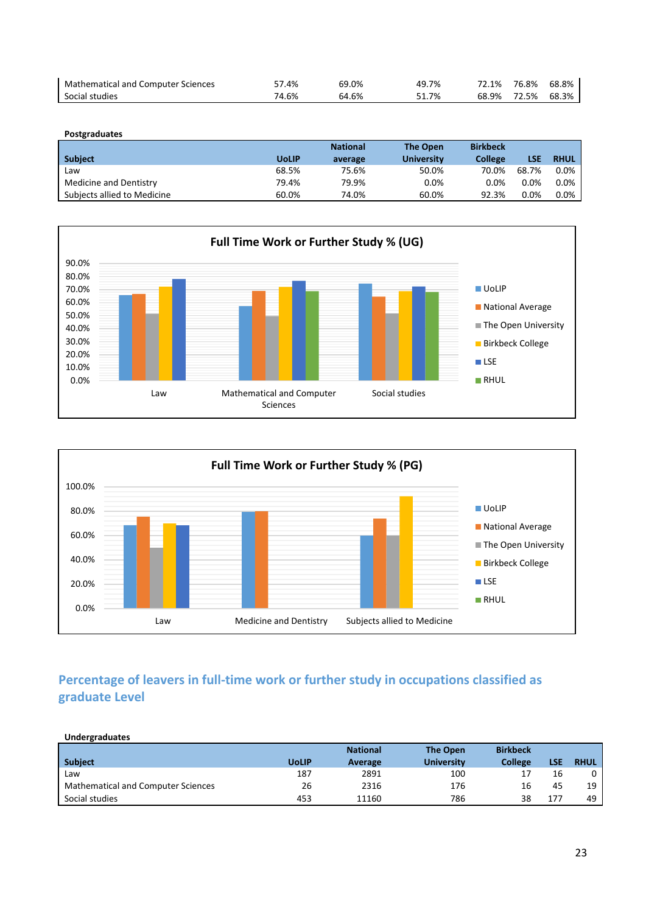| <b>Mathematical and Computer Sciences</b> | 57.4% | 69.0% | 49.7% | 72.1% | 76.8% | 68.8% |
|-------------------------------------------|-------|-------|-------|-------|-------|-------|
| Social studies                            | 74.6% | 64.6% | 1.7%د | 68.9% | 72.5% | 68.3% |

| Postgraduates               |              |                 |                   |                 |         |             |
|-----------------------------|--------------|-----------------|-------------------|-----------------|---------|-------------|
|                             |              | <b>National</b> | The Open          | <b>Birkbeck</b> |         |             |
| <b>Subject</b>              | <b>UoLIP</b> | average         | <b>University</b> | <b>College</b>  | LSE     | <b>RHUL</b> |
| Law                         | 68.5%        | 75.6%           | 50.0%             | 70.0%           | 68.7%   | 0.0%        |
| Medicine and Dentistry      | 79.4%        | 79.9%           | $0.0\%$           | 0.0%            | $0.0\%$ | $0.0\%$     |
| Subjects allied to Medicine | 60.0%        | 74.0%           | 60.0%             | 92.3%           | $0.0\%$ | 0.0%        |





## **Percentage of leavers in full-time work or further study in occupations classified as graduate Level**

| Undergraduates                            |              |                 |                   |                 |            |             |
|-------------------------------------------|--------------|-----------------|-------------------|-----------------|------------|-------------|
|                                           |              | <b>National</b> | <b>The Open</b>   | <b>Birkbeck</b> |            |             |
| <b>Subject</b>                            | <b>UoLIP</b> | Average         | <b>University</b> | <b>College</b>  | <b>LSE</b> | <b>RHUL</b> |
| Law                                       | 187          | 2891            | 100               | 17              | 16         | 0           |
| <b>Mathematical and Computer Sciences</b> | 26           | 2316            | 176               | 16              | 45         | 19          |
| Social studies                            | 453          | 11160           | 786               | 38              | 177        | 49          |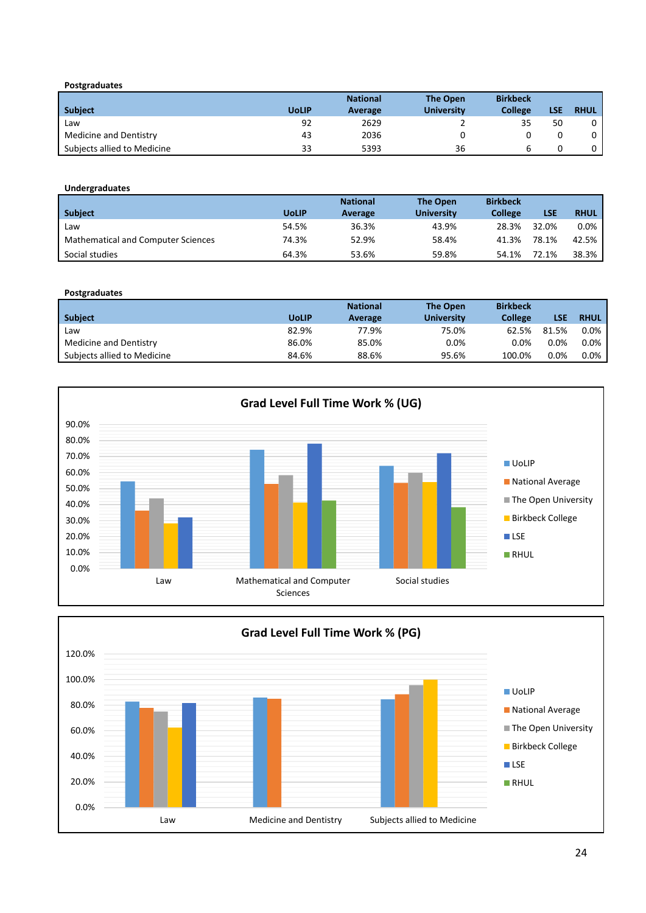| <b>Subject</b>              | <b>UoLIP</b> | <b>National</b><br>Average | <b>The Open</b><br><b>University</b> | <b>Birkbeck</b><br><b>College</b> | LSE | <b>RHUL</b> |
|-----------------------------|--------------|----------------------------|--------------------------------------|-----------------------------------|-----|-------------|
| Law                         | 92           | 2629                       |                                      | 35                                | 50  |             |
| Medicine and Dentistry      | 43           | 2036                       |                                      |                                   |     |             |
| Subjects allied to Medicine | 33           | 5393                       | 36                                   |                                   |     |             |

#### **Undergraduates**

|                                           |              | <b>National</b> | The Open          | <b>Birkbeck</b> |       |             |
|-------------------------------------------|--------------|-----------------|-------------------|-----------------|-------|-------------|
| <b>Subject</b>                            | <b>UoLIP</b> | Average         | <b>University</b> | <b>College</b>  | LSE   | <b>RHUL</b> |
| Law                                       | 54.5%        | 36.3%           | 43.9%             | 28.3%           | 32.0% | $0.0\%$     |
| <b>Mathematical and Computer Sciences</b> | 74.3%        | 52.9%           | 58.4%             | 41.3%           | 78.1% | 42.5%       |
| Social studies                            | 64.3%        | 53.6%           | 59.8%             | 54.1%           | 72.1% | 38.3%       |

#### **Postgraduates**

|                             |              | <b>National</b> | <b>The Open</b>   | <b>Birkbeck</b> |         |             |
|-----------------------------|--------------|-----------------|-------------------|-----------------|---------|-------------|
| <b>Subject</b>              | <b>UoLIP</b> | Average         | <b>University</b> | College         | LSE     | <b>RHUL</b> |
| Law                         | 82.9%        | 77.9%           | 75.0%             | 62.5%           | 81.5%   | $0.0\%$     |
| Medicine and Dentistry      | 86.0%        | 85.0%           | 0.0%              | 0.0%            | $0.0\%$ | 0.0%        |
| Subjects allied to Medicine | 84.6%        | 88.6%           | 95.6%             | 100.0%          | $0.0\%$ | $0.0\%$     |



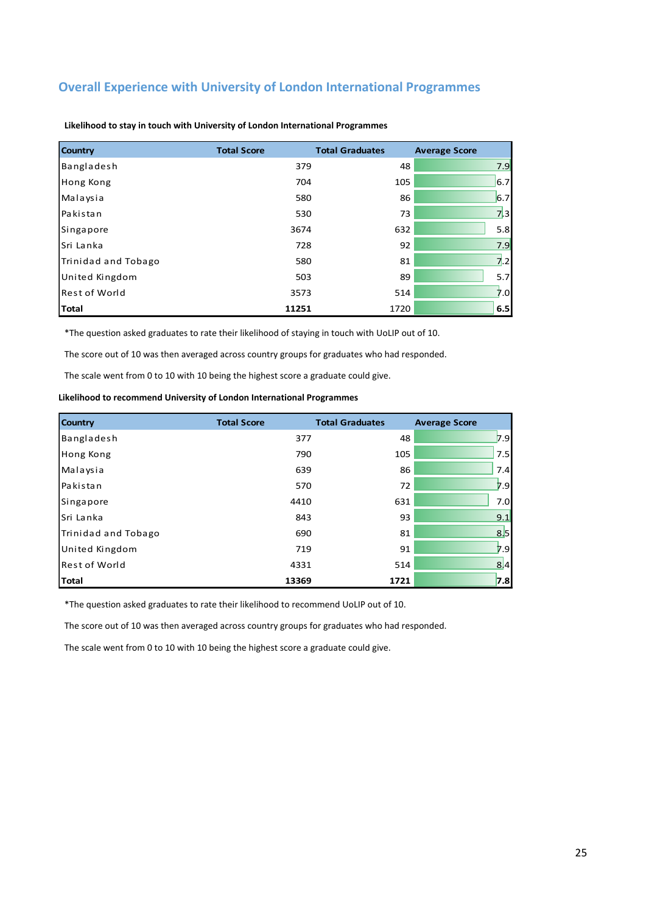### **Overall Experience with University of London International Programmes**

| <b>Country</b>       | <b>Total Score</b> | <b>Total Graduates</b> | <b>Average Score</b> |
|----------------------|--------------------|------------------------|----------------------|
| Bangladesh           | 379                | 48                     | 7.9                  |
| Hong Kong            | 704                | 105                    | 6.7                  |
| Malaysia             | 580                | 86                     | 6.7                  |
| Pakistan             | 530                | 73                     | 7.3                  |
| Singapore            | 3674               | 632                    | 5.8                  |
| Sri Lanka            | 728                | 92                     | 7.9                  |
| Trinidad and Tobago  | 580                | 81                     | 7.2                  |
| United Kingdom       | 503                | 89                     | 5.7                  |
| <b>Rest of World</b> | 3573               | 514                    | 7.0                  |
| <b>Total</b>         | 11251              | 1720                   | 6.5                  |

**Likelihood to stay in touch with University of London International Programmes**

\*The question asked graduates to rate their likelihood of staying in touch with UoLIP out of 10.

The score out of 10 was then averaged across country groups for graduates who had responded.

The scale went from 0 to 10 with 10 being the highest score a graduate could give.

**Likelihood to recommend University of London International Programmes**

| <b>Country</b>        | <b>Total Score</b> | <b>Total Graduates</b> | <b>Average Score</b> |
|-----------------------|--------------------|------------------------|----------------------|
| Bangladesh            | 377                | 48                     | 7.9                  |
| <b>Hong Kong</b>      | 790                | 105                    | 7.5                  |
| Malaysia              | 639                | 86                     | 7.4                  |
| Pakistan              | 570                | 72                     | 7.9                  |
| Singapore             | 4410               | 631                    | 7.0                  |
| Sri Lanka             | 843                | 93                     | 9.1                  |
| Trinidad and Tobago   | 690                | 81                     | 8.5                  |
| <b>United Kingdom</b> | 719                | 91                     | 7.9                  |
| <b>Rest of World</b>  | 4331               | 514                    | 8 4                  |
| Total                 | 13369              | 1721                   | 7.8                  |

\*The question asked graduates to rate their likelihood to recommend UoLIP out of 10.

The score out of 10 was then averaged across country groups for graduates who had responded.

The scale went from 0 to 10 with 10 being the highest score a graduate could give.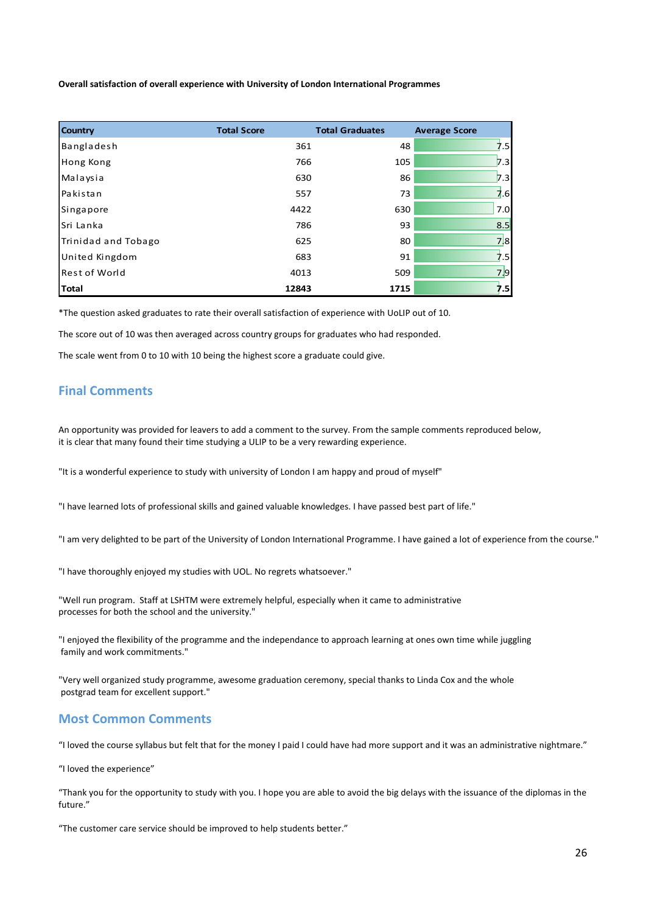**Overall satisfaction of overall experience with University of London International Programmes**

| <b>Country</b>       | <b>Total Score</b> | <b>Total Graduates</b> | <b>Average Score</b> |
|----------------------|--------------------|------------------------|----------------------|
| Bangladesh           | 361                | 48                     | 7.5                  |
| Hong Kong            | 766                | 105                    | 7.3                  |
| Malaysia             | 630                | 86                     | 7.3                  |
| Pakistan             | 557                | 73                     | 7.6                  |
| Singapore            | 4422               | 630                    | 7.0                  |
| Sri Lanka            | 786                | 93                     | 8.5                  |
| Trinidad and Tobago  | 625                | 80                     | 7 8                  |
| United Kingdom       | 683                | 91                     | 7.5                  |
| <b>Rest of World</b> | 4013               | 509                    | 7.9                  |
| Total                | 12843              | 1715                   | 7.5                  |

\*The question asked graduates to rate their overall satisfaction of experience with UoLIP out of 10.

The score out of 10 was then averaged across country groups for graduates who had responded.

The scale went from 0 to 10 with 10 being the highest score a graduate could give.

### **Final Comments**

An opportunity was provided for leavers to add a comment to the survey. From the sample comments reproduced below, it is clear that many found their time studying a ULIP to be a very rewarding experience.

"It is a wonderful experience to study with university of London I am happy and proud of myself"

"I have learned lots of professional skills and gained valuable knowledges. I have passed best part of life."

"I am very delighted to be part of the University of London International Programme. I have gained a lot of experience from the course."

"I have thoroughly enjoyed my studies with UOL. No regrets whatsoever."

"Well run program. Staff at LSHTM were extremely helpful, especially when it came to administrative processes for both the school and the university."

"I enjoyed the flexibility of the programme and the independance to approach learning at ones own time while juggling family and work commitments."

"Very well organized study programme, awesome graduation ceremony, special thanks to Linda Cox and the whole postgrad team for excellent support."

### **Most Common Comments**

"I loved the course syllabus but felt that for the money I paid I could have had more support and it was an administrative nightmare."

"I loved the experience"

"Thank you for the opportunity to study with you. I hope you are able to avoid the big delays with the issuance of the diplomas in the future."

"The customer care service should be improved to help students better."